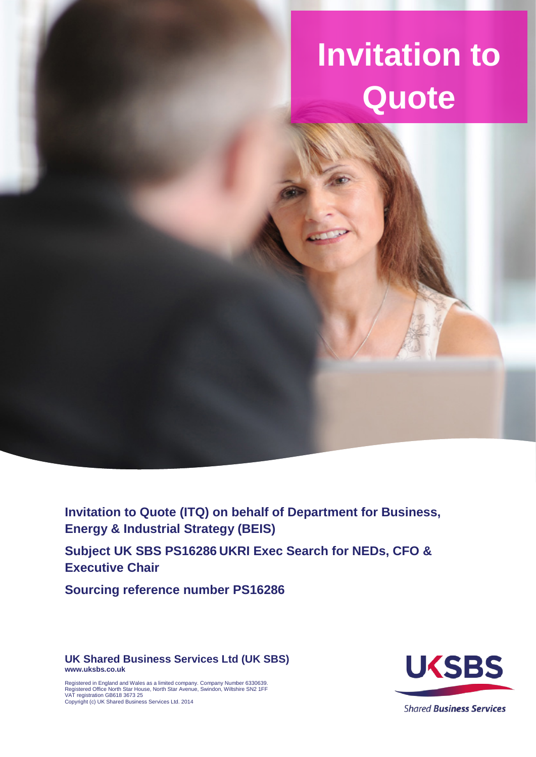# **Invitation to Quote**

**Invitation to Quote (ITQ) on behalf of Department for Business, Energy & Industrial Strategy (BEIS)**

**Subject UK SBS PS16286 UKRI Exec Search for NEDs, CFO & Executive Chair**

**Sourcing reference number PS16286**

**UK Shared Business Services Ltd (UK SBS) www.uksbs.co.uk**



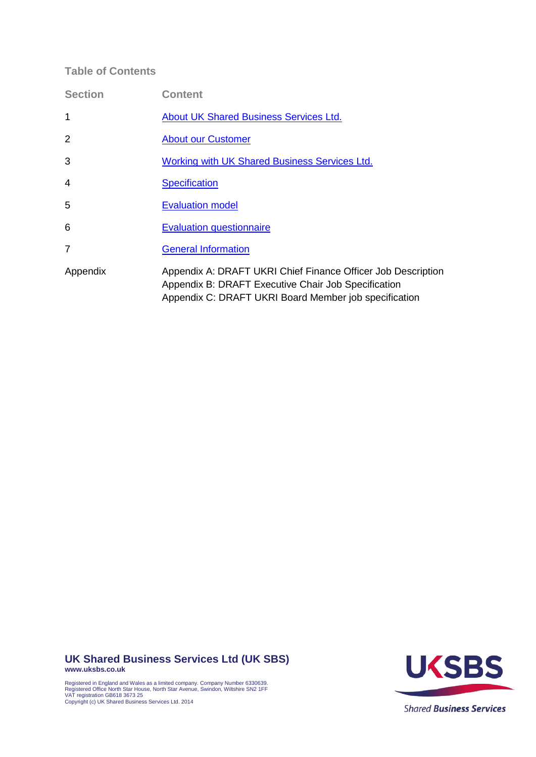### **Table of Contents**

| <b>Section</b> | <b>Content</b>                                                                                                                                                               |
|----------------|------------------------------------------------------------------------------------------------------------------------------------------------------------------------------|
| 1              | <b>About UK Shared Business Services Ltd.</b>                                                                                                                                |
| $\overline{2}$ | <b>About our Customer</b>                                                                                                                                                    |
| 3              | Working with UK Shared Business Services Ltd.                                                                                                                                |
| 4              | <b>Specification</b>                                                                                                                                                         |
| 5              | <b>Evaluation model</b>                                                                                                                                                      |
| 6              | <b>Evaluation questionnaire</b>                                                                                                                                              |
| $\overline{7}$ | <b>General Information</b>                                                                                                                                                   |
| Appendix       | Appendix A: DRAFT UKRI Chief Finance Officer Job Description<br>Appendix B: DRAFT Executive Chair Job Specification<br>Appendix C: DRAFT UKRI Board Member job specification |

**UK Shared Business Services Ltd (UK SBS) www.uksbs.co.uk**





**Shared Business Services**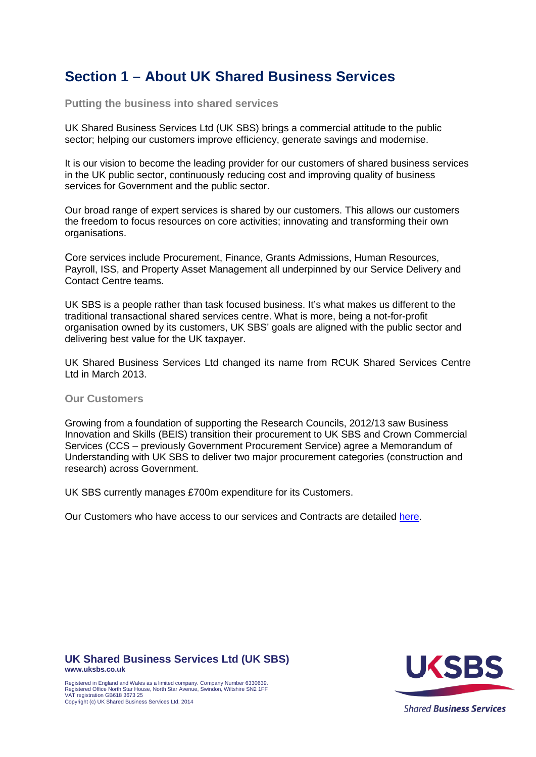# <span id="page-2-0"></span>**Section 1 – About UK Shared Business Services**

**Putting the business into shared services**

UK Shared Business Services Ltd (UK SBS) brings a commercial attitude to the public sector; helping our customers improve efficiency, generate savings and modernise.

It is our vision to become the leading provider for our customers of shared business services in the UK public sector, continuously reducing cost and improving quality of business services for Government and the public sector.

Our broad range of expert services is shared by our customers. This allows our customers the freedom to focus resources on core activities; innovating and transforming their own organisations.

Core services include Procurement, Finance, Grants Admissions, Human Resources, Payroll, ISS, and Property Asset Management all underpinned by our Service Delivery and Contact Centre teams.

UK SBS is a people rather than task focused business. It's what makes us different to the traditional transactional shared services centre. What is more, being a not-for-profit organisation owned by its customers, UK SBS' goals are aligned with the public sector and delivering best value for the UK taxpayer.

UK Shared Business Services Ltd changed its name from RCUK Shared Services Centre Ltd in March 2013.

#### **Our Customers**

Growing from a foundation of supporting the Research Councils, 2012/13 saw Business Innovation and Skills (BEIS) transition their procurement to UK SBS and Crown Commercial Services (CCS – previously Government Procurement Service) agree a Memorandum of Understanding with UK SBS to deliver two major procurement categories (construction and research) across Government.

UK SBS currently manages £700m expenditure for its Customers.

Our Customers who have access to our services and Contracts are detailed [here.](http://www.uksbs.co.uk/services/procure/contracts/Pages/default.aspx)

**UK Shared Business Services Ltd (UK SBS) www.uksbs.co.uk**

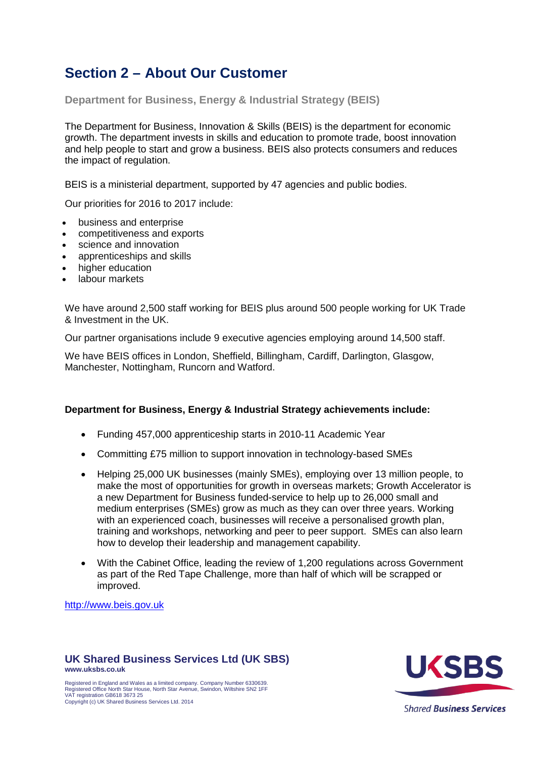# <span id="page-3-0"></span>**Section 2 – About Our Customer**

**Department for Business, Energy & Industrial Strategy (BEIS)**

The Department for Business, Innovation & Skills (BEIS) is the department for economic growth. The department invests in skills and education to promote trade, boost innovation and help people to start and grow a business. BEIS also protects consumers and reduces the impact of regulation.

BEIS is a ministerial department, supported by 47 [agencies and public bodies.](https://www.gov.uk/government/organisations%23department-for-business-innovation-skills)

Our priorities for 2016 to 2017 include:

- business and enterprise
- competitiveness and exports
- science and innovation
- apprenticeships and skills
- higher education
- labour markets

We have around 2,500 staff working for BEIS plus around 500 people working for UK Trade & Investment in the UK.

Our partner organisations include 9 executive agencies employing around 14,500 staff.

We have BEIS offices in London, Sheffield, Billingham, Cardiff, Darlington, Glasgow, Manchester, Nottingham, Runcorn and Watford.

### **Department for Business, Energy & Industrial Strategy achievements include:**

- Funding 457,000 apprenticeship starts in 2010-11 Academic Year
- Committing £75 million to support innovation in technology-based SMEs
- Helping 25,000 UK businesses (mainly SMEs), employing over 13 million people, to make the most of opportunities for growth in overseas markets; [Growth Accelerator](http://www.growthaccelerator.com/) is a new Department for Business funded-service to help up to 26,000 small and medium enterprises (SMEs) grow as much as they can over three years. Working with an experienced coach, businesses will receive a personalised growth plan, training and workshops, networking and peer to peer support. SMEs can also learn how to develop their leadership and management capability.
- With the Cabinet Office, leading the review of 1,200 regulations across Government as part of the Red Tape Challenge, more than half of which will be scrapped or improved.

[http://www.beis.gov.uk](http://www.beis.gov.uk/)

#### **UK Shared Business Services Ltd (UK SBS) www.uksbs.co.uk**

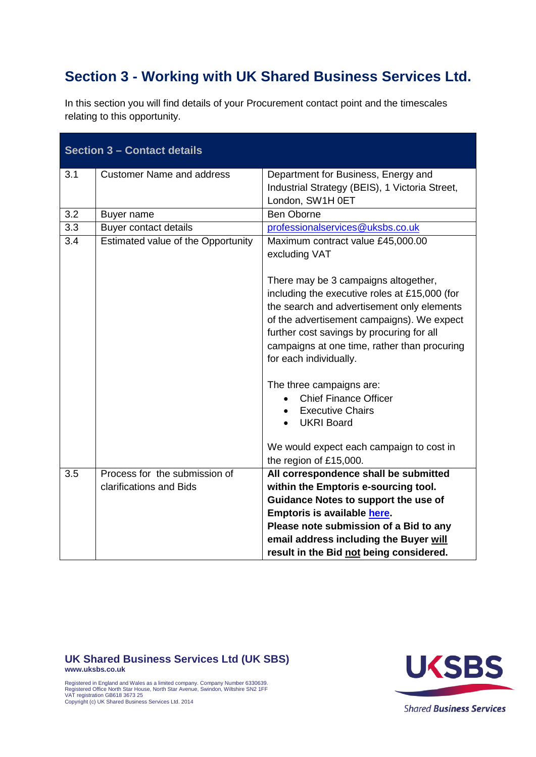# <span id="page-4-0"></span>**Section 3 - Working with UK Shared Business Services Ltd.**

| <b>Section 3 - Contact details</b> |                                    |                                                                                                                                                                                                                                                                                                                                                                                            |
|------------------------------------|------------------------------------|--------------------------------------------------------------------------------------------------------------------------------------------------------------------------------------------------------------------------------------------------------------------------------------------------------------------------------------------------------------------------------------------|
| 3.1                                | <b>Customer Name and address</b>   | Department for Business, Energy and<br>Industrial Strategy (BEIS), 1 Victoria Street,<br>London, SW1H 0ET                                                                                                                                                                                                                                                                                  |
| 3.2                                | Buyer name                         | <b>Ben Oborne</b>                                                                                                                                                                                                                                                                                                                                                                          |
| 3.3                                | <b>Buyer contact details</b>       | professionalservices@uksbs.co.uk                                                                                                                                                                                                                                                                                                                                                           |
| 3.4                                | Estimated value of the Opportunity | Maximum contract value £45,000.00<br>excluding VAT<br>There may be 3 campaigns altogether,<br>including the executive roles at £15,000 (for<br>the search and advertisement only elements<br>of the advertisement campaigns). We expect<br>further cost savings by procuring for all<br>campaigns at one time, rather than procuring<br>for each individually.<br>The three campaigns are: |
|                                    |                                    | <b>Chief Finance Officer</b><br><b>Executive Chairs</b><br><b>UKRI Board</b><br>We would expect each campaign to cost in<br>the region of £15,000.                                                                                                                                                                                                                                         |
| 3.5                                | Process for the submission of      | All correspondence shall be submitted                                                                                                                                                                                                                                                                                                                                                      |
|                                    | clarifications and Bids            | within the Emptoris e-sourcing tool.                                                                                                                                                                                                                                                                                                                                                       |
|                                    |                                    | Guidance Notes to support the use of                                                                                                                                                                                                                                                                                                                                                       |
|                                    |                                    | Emptoris is available here.                                                                                                                                                                                                                                                                                                                                                                |
|                                    |                                    | Please note submission of a Bid to any                                                                                                                                                                                                                                                                                                                                                     |
|                                    |                                    | email address including the Buyer will                                                                                                                                                                                                                                                                                                                                                     |
|                                    |                                    | result in the Bid not being considered.                                                                                                                                                                                                                                                                                                                                                    |

In this section you will find details of your Procurement contact point and the timescales relating to this opportunity.

### **UK Shared Business Services Ltd (UK SBS)**

**www.uksbs.co.uk**



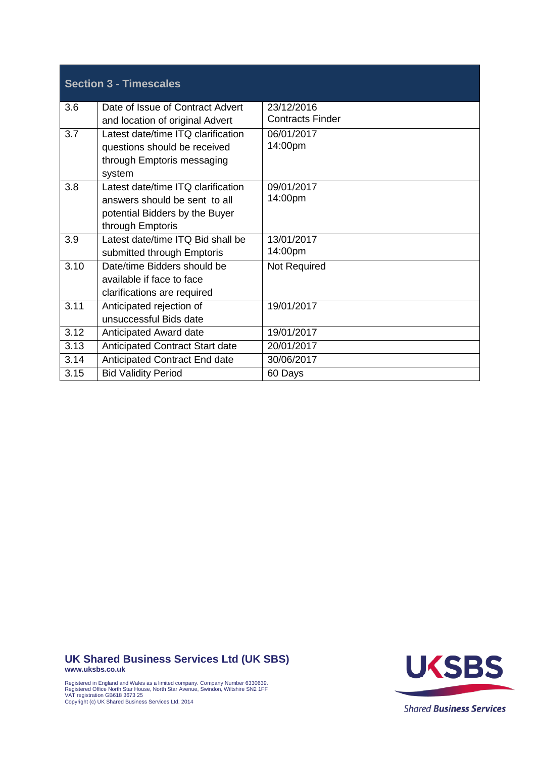|      | <b>Section 3 - Timescales</b>          |                         |
|------|----------------------------------------|-------------------------|
| 3.6  | Date of Issue of Contract Advert       | 23/12/2016              |
|      | and location of original Advert        | <b>Contracts Finder</b> |
| 3.7  | Latest date/time ITQ clarification     | 06/01/2017              |
|      | questions should be received           | 14:00pm                 |
|      | through Emptoris messaging             |                         |
|      | system                                 |                         |
| 3.8  | Latest date/time ITQ clarification     | 09/01/2017              |
|      | answers should be sent to all          | 14:00pm                 |
|      | potential Bidders by the Buyer         |                         |
|      | through Emptoris                       |                         |
| 3.9  | Latest date/time ITQ Bid shall be      | 13/01/2017              |
|      | submitted through Emptoris             | 14:00pm                 |
| 3.10 | Date/time Bidders should be            | <b>Not Required</b>     |
|      | available if face to face              |                         |
|      | clarifications are required            |                         |
| 3.11 | Anticipated rejection of               | 19/01/2017              |
|      | unsuccessful Bids date                 |                         |
| 3.12 | Anticipated Award date                 | 19/01/2017              |
| 3.13 | <b>Anticipated Contract Start date</b> | 20/01/2017              |
| 3.14 | <b>Anticipated Contract End date</b>   | 30/06/2017              |
| 3.15 | <b>Bid Validity Period</b>             | 60 Days                 |

**UK Shared Business Services Ltd (UK SBS) www.uksbs.co.uk**





**Shared Business Services**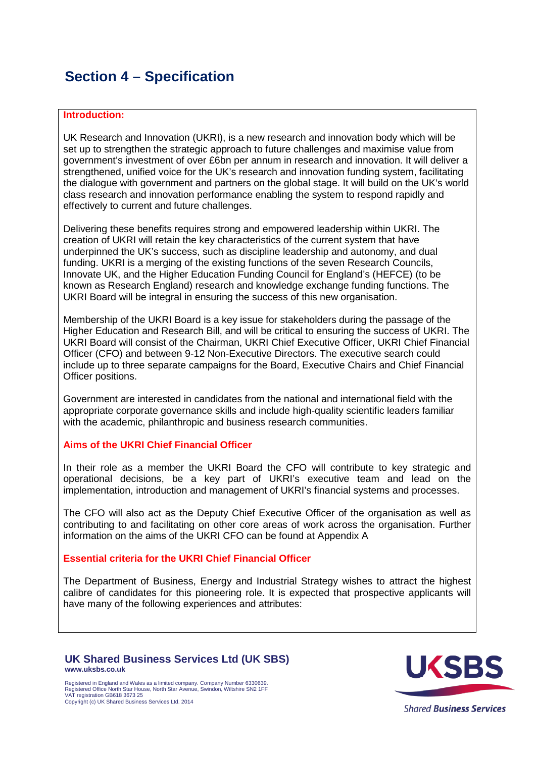# <span id="page-6-0"></span>**Section 4 – Specification**

### **Introduction:**

UK Research and Innovation (UKRI), is a new research and innovation body which will be set up to strengthen the strategic approach to future challenges and maximise value from government's investment of over £6bn per annum in research and innovation. It will deliver a strengthened, unified voice for the UK's research and innovation funding system, facilitating the dialogue with government and partners on the global stage. It will build on the UK's world class research and innovation performance enabling the system to respond rapidly and effectively to current and future challenges.

Delivering these benefits requires strong and empowered leadership within UKRI. The creation of UKRI will retain the key characteristics of the current system that have underpinned the UK's success, such as discipline leadership and autonomy, and dual funding. UKRI is a merging of the existing functions of the seven Research Councils, Innovate UK, and the Higher Education Funding Council for England's (HEFCE) (to be known as Research England) research and knowledge exchange funding functions. The UKRI Board will be integral in ensuring the success of this new organisation.

Membership of the UKRI Board is a key issue for stakeholders during the passage of the Higher Education and Research Bill, and will be critical to ensuring the success of UKRI. The UKRI Board will consist of the Chairman, UKRI Chief Executive Officer, UKRI Chief Financial Officer (CFO) and between 9-12 Non-Executive Directors. The executive search could include up to three separate campaigns for the Board, Executive Chairs and Chief Financial Officer positions.

Government are interested in candidates from the national and international field with the appropriate corporate governance skills and include high-quality scientific leaders familiar with the academic, philanthropic and business research communities.

### **Aims of the UKRI Chief Financial Officer**

In their role as a member the UKRI Board the CFO will contribute to key strategic and operational decisions, be a key part of UKRI's executive team and lead on the implementation, introduction and management of UKRI's financial systems and processes.

The CFO will also act as the Deputy Chief Executive Officer of the organisation as well as contributing to and facilitating on other core areas of work across the organisation. Further information on the aims of the UKRI CFO can be found at Appendix A

#### **Essential criteria for the UKRI Chief Financial Officer**

The Department of Business, Energy and Industrial Strategy wishes to attract the highest calibre of candidates for this pioneering role. It is expected that prospective applicants will have many of the following experiences and attributes:

#### **UK Shared Business Services Ltd (UK SBS) www.uksbs.co.uk**

Registered in England and Wales as a limited company. Company Number 6330639. Registered Office North Star House, North Star Avenue, Swindon, Wiltshire SN2 1FF VAT registration GB618 3673 25 Copyright (c) UK Shared Business Services Ltd. 2014



**Shared Business Services**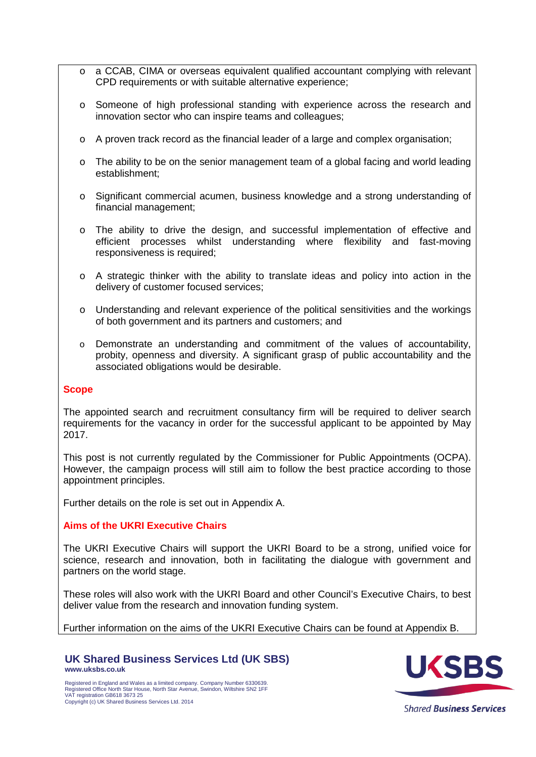- $\circ$  a CCAB, CIMA or overseas equivalent qualified accountant complying with relevant CPD requirements or with suitable alternative experience;
- o Someone of high professional standing with experience across the research and innovation sector who can inspire teams and colleagues;
- o A proven track record as the financial leader of a large and complex organisation;
- o The ability to be on the senior management team of a global facing and world leading establishment;
- o Significant commercial acumen, business knowledge and a strong understanding of financial management;
- o The ability to drive the design, and successful implementation of effective and efficient processes whilst understanding where flexibility and fast-moving responsiveness is required;
- o A strategic thinker with the ability to translate ideas and policy into action in the delivery of customer focused services;
- o Understanding and relevant experience of the political sensitivities and the workings of both government and its partners and customers; and
- o Demonstrate an understanding and commitment of the values of accountability, probity, openness and diversity. A significant grasp of public accountability and the associated obligations would be desirable.

### **Scope**

The appointed search and recruitment consultancy firm will be required to deliver search requirements for the vacancy in order for the successful applicant to be appointed by May 2017.

This post is not currently regulated by the Commissioner for Public Appointments (OCPA). However, the campaign process will still aim to follow the best practice according to those appointment principles.

Further details on the role is set out in Appendix A.

### **Aims of the UKRI Executive Chairs**

The UKRI Executive Chairs will support the UKRI Board to be a strong, unified voice for science, research and innovation, both in facilitating the dialogue with government and partners on the world stage.

These roles will also work with the UKRI Board and other Council's Executive Chairs, to best deliver value from the research and innovation funding system.

Further information on the aims of the UKRI Executive Chairs can be found at Appendix B.

#### **UK Shared Business Services Ltd (UK SBS) www.uksbs.co.uk**

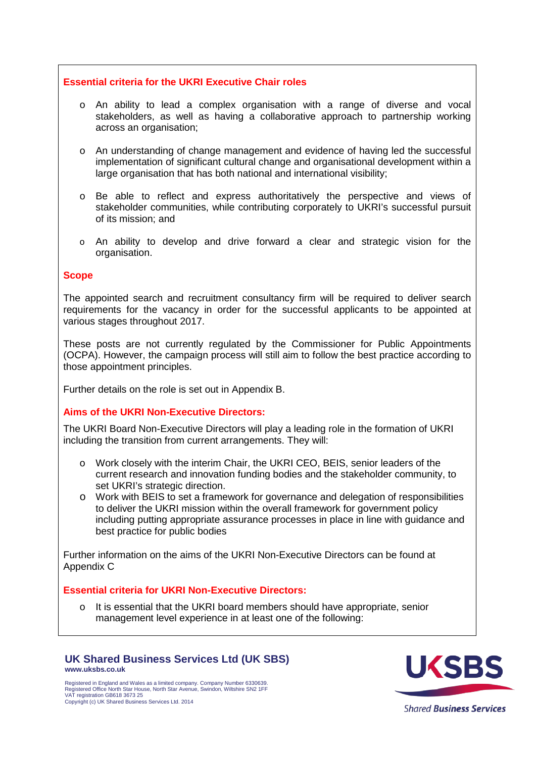### **Essential criteria for the UKRI Executive Chair roles**

- o An ability to lead a complex organisation with a range of diverse and vocal stakeholders, as well as having a collaborative approach to partnership working across an organisation;
- o An understanding of change management and evidence of having led the successful implementation of significant cultural change and organisational development within a large organisation that has both national and international visibility;
- o Be able to reflect and express authoritatively the perspective and views of stakeholder communities, while contributing corporately to UKRI's successful pursuit of its mission; and
- o An ability to develop and drive forward a clear and strategic vision for the organisation.

#### **Scope**

The appointed search and recruitment consultancy firm will be required to deliver search requirements for the vacancy in order for the successful applicants to be appointed at various stages throughout 2017.

These posts are not currently regulated by the Commissioner for Public Appointments (OCPA). However, the campaign process will still aim to follow the best practice according to those appointment principles.

Further details on the role is set out in Appendix B.

### **Aims of the UKRI Non-Executive Directors:**

The UKRI Board Non-Executive Directors will play a leading role in the formation of UKRI including the transition from current arrangements. They will:

- o Work closely with the interim Chair, the UKRI CEO, BEIS, senior leaders of the current research and innovation funding bodies and the stakeholder community, to set UKRI's strategic direction.
- o Work with BEIS to set a framework for governance and delegation of responsibilities to deliver the UKRI mission within the overall framework for government policy including putting appropriate assurance processes in place in line with guidance and best practice for public bodies

Further information on the aims of the UKRI Non-Executive Directors can be found at Appendix C

### **Essential criteria for UKRI Non-Executive Directors:**

o It is essential that the UKRI board members should have appropriate, senior management level experience in at least one of the following:

#### **UK Shared Business Services Ltd (UK SBS) www.uksbs.co.uk**

Registered in England and Wales as a limited company. Company Number 6330639. Registered Office North Star House, North Star Avenue, Swindon, Wiltshire SN2 1FF VAT registration GB618 3673 25 Copyright (c) UK Shared Business Services Ltd. 2014



**Shared Business Services**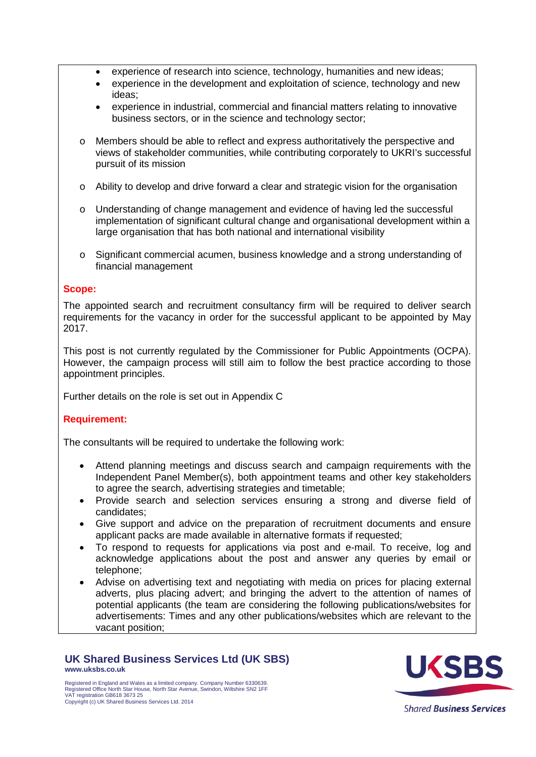- experience of research into science, technology, humanities and new ideas;
- experience in the development and exploitation of science, technology and new ideas;
- experience in industrial, commercial and financial matters relating to innovative business sectors, or in the science and technology sector;
- o Members should be able to reflect and express authoritatively the perspective and views of stakeholder communities, while contributing corporately to UKRI's successful pursuit of its mission
- $\circ$  Ability to develop and drive forward a clear and strategic vision for the organisation
- o Understanding of change management and evidence of having led the successful implementation of significant cultural change and organisational development within a large organisation that has both national and international visibility
- o Significant commercial acumen, business knowledge and a strong understanding of financial management

### **Scope:**

The appointed search and recruitment consultancy firm will be required to deliver search requirements for the vacancy in order for the successful applicant to be appointed by May 2017.

This post is not currently regulated by the Commissioner for Public Appointments (OCPA). However, the campaign process will still aim to follow the best practice according to those appointment principles.

Further details on the role is set out in Appendix C

### **Requirement:**

The consultants will be required to undertake the following work:

- Attend planning meetings and discuss search and campaign requirements with the Independent Panel Member(s), both appointment teams and other key stakeholders to agree the search, advertising strategies and timetable;
- Provide search and selection services ensuring a strong and diverse field of candidates;
- Give support and advice on the preparation of recruitment documents and ensure applicant packs are made available in alternative formats if requested;
- To respond to requests for applications via post and e-mail. To receive, log and acknowledge applications about the post and answer any queries by email or telephone;
- Advise on advertising text and negotiating with media on prices for placing external adverts, plus placing advert; and bringing the advert to the attention of names of potential applicants (the team are considering the following publications/websites for advertisements: Times and any other publications/websites which are relevant to the vacant position;

### **UK Shared Business Services Ltd (UK SBS) www.uksbs.co.uk**

Registered in England and Wales as a limited company. Company Number 6330639. Registered Office North Star House, North Star Avenue, Swindon, Wiltshire SN2 1FF VAT registration GB618 3673 25 Copyright (c) UK Shared Business Services Ltd. 2014



**Shared Business Services**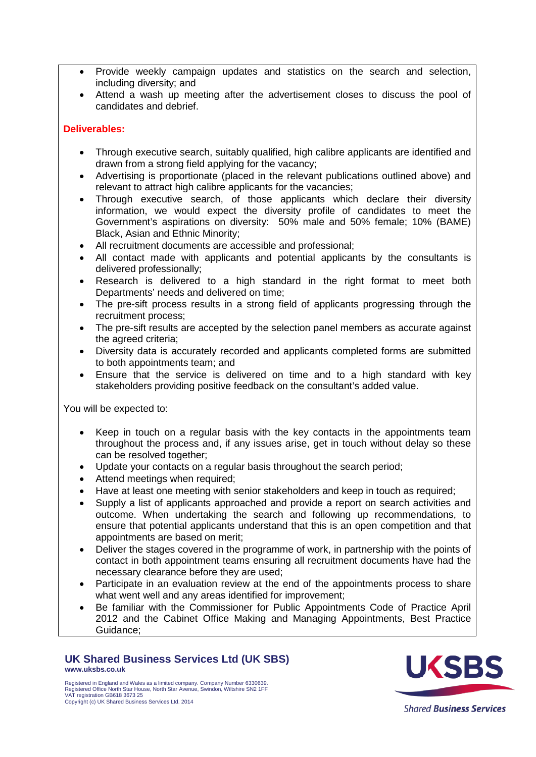- Provide weekly campaign updates and statistics on the search and selection, including diversity; and
- Attend a wash up meeting after the advertisement closes to discuss the pool of candidates and debrief.

### **Deliverables:**

- Through executive search, suitably qualified, high calibre applicants are identified and drawn from a strong field applying for the vacancy;
- Advertising is proportionate (placed in the relevant publications outlined above) and relevant to attract high calibre applicants for the vacancies;
- Through executive search, of those applicants which declare their diversity information, we would expect the diversity profile of candidates to meet the Government's aspirations on diversity: 50% male and 50% female; 10% (BAME) Black, Asian and Ethnic Minority;
- All recruitment documents are accessible and professional;
- All contact made with applicants and potential applicants by the consultants is delivered professionally;
- Research is delivered to a high standard in the right format to meet both Departments' needs and delivered on time;
- The pre-sift process results in a strong field of applicants progressing through the recruitment process;
- The pre-sift results are accepted by the selection panel members as accurate against the agreed criteria;
- Diversity data is accurately recorded and applicants completed forms are submitted to both appointments team; and
- Ensure that the service is delivered on time and to a high standard with key stakeholders providing positive feedback on the consultant's added value.

You will be expected to:

- Keep in touch on a regular basis with the key contacts in the appointments team throughout the process and, if any issues arise, get in touch without delay so these can be resolved together;
- Update your contacts on a regular basis throughout the search period;
- Attend meetings when required;
- Have at least one meeting with senior stakeholders and keep in touch as required;
- Supply a list of applicants approached and provide a report on search activities and outcome. When undertaking the search and following up recommendations, to ensure that potential applicants understand that this is an open competition and that appointments are based on merit;
- Deliver the stages covered in the programme of work, in partnership with the points of contact in both appointment teams ensuring all recruitment documents have had the necessary clearance before they are used;
- Participate in an evaluation review at the end of the appointments process to share what went well and any areas identified for improvement;
- Be familiar with the Commissioner for Public Appointments Code of Practice April 2012 and the Cabinet Office Making and Managing Appointments, Best Practice Guidance;

### **UK Shared Business Services Ltd (UK SBS) www.uksbs.co.uk**



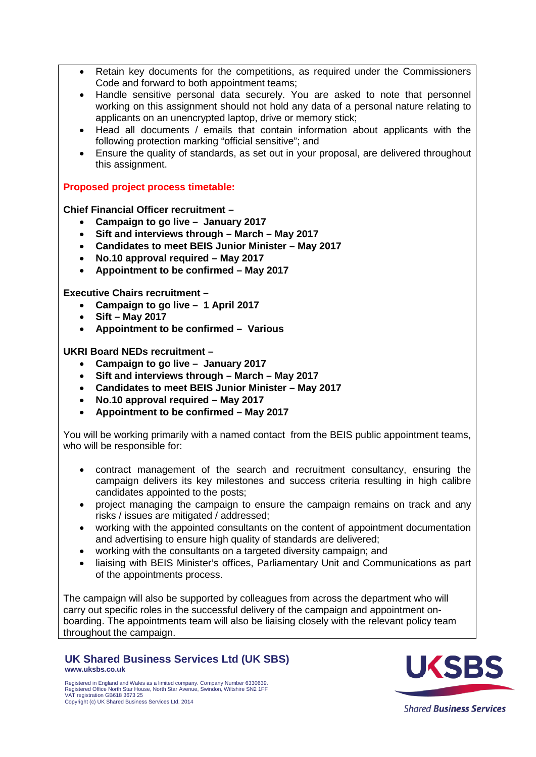- Retain key documents for the competitions, as required under the Commissioners Code and forward to both appointment teams;
- Handle sensitive personal data securely. You are asked to note that personnel working on this assignment should not hold any data of a personal nature relating to applicants on an unencrypted laptop, drive or memory stick;
- Head all documents / emails that contain information about applicants with the following protection marking "official sensitive"; and
- Ensure the quality of standards, as set out in your proposal, are delivered throughout this assignment.

**Proposed project process timetable:**

**Chief Financial Officer recruitment –**

- **Campaign to go live January 2017**
- **Sift and interviews through – March – May 2017**
- **Candidates to meet BEIS Junior Minister – May 2017**
- **No.10 approval required – May 2017**
- **Appointment to be confirmed – May 2017**

**Executive Chairs recruitment –**

- **Campaign to go live 1 April 2017**
- **Sift – May 2017**
- **Appointment to be confirmed Various**

**UKRI Board NEDs recruitment –**

- **Campaign to go live January 2017**
- **Sift and interviews through – March – May 2017**
- **Candidates to meet BEIS Junior Minister – May 2017**
- **No.10 approval required – May 2017**
- **Appointment to be confirmed – May 2017**

You will be working primarily with a named contact from the BEIS public appointment teams, who will be responsible for:

- contract management of the search and recruitment consultancy, ensuring the campaign delivers its key milestones and success criteria resulting in high calibre candidates appointed to the posts;
- project managing the campaign to ensure the campaign remains on track and any risks / issues are mitigated / addressed;
- working with the appointed consultants on the content of appointment documentation and advertising to ensure high quality of standards are delivered;
- working with the consultants on a targeted diversity campaign; and
- liaising with BEIS Minister's offices, Parliamentary Unit and Communications as part of the appointments process.

The campaign will also be supported by colleagues from across the department who will carry out specific roles in the successful delivery of the campaign and appointment onboarding. The appointments team will also be liaising closely with the relevant policy team throughout the campaign.

**UK Shared Business Services Ltd (UK SBS) www.uksbs.co.uk**



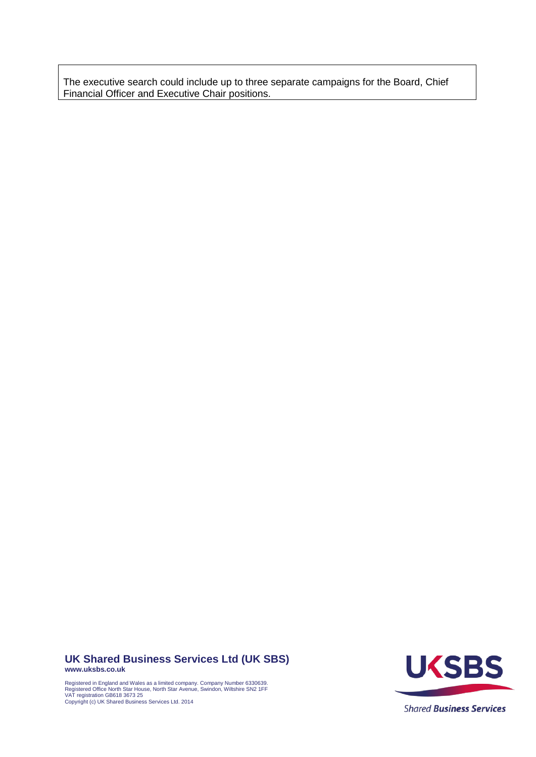The executive search could include up to three separate campaigns for the Board, Chief Financial Officer and Executive Chair positions.

#### **UK Shared Business Services Ltd (UK SBS) www.uksbs.co.uk**

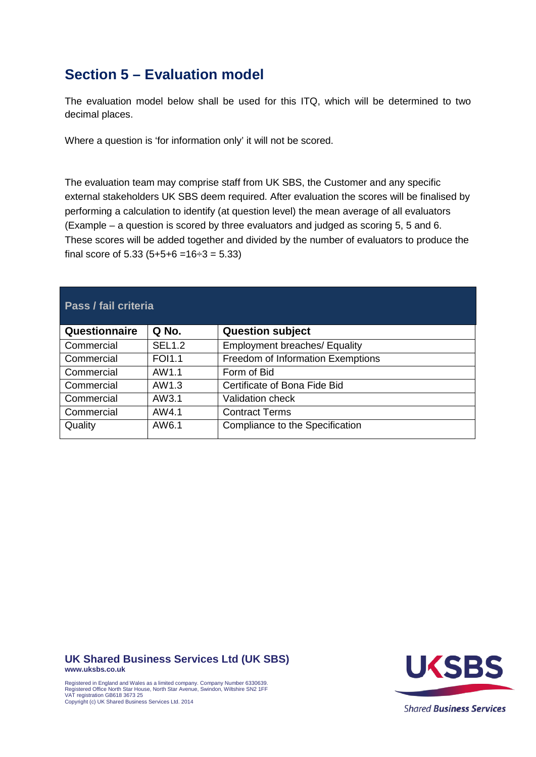# <span id="page-13-0"></span>**Section 5 – Evaluation model**

The evaluation model below shall be used for this ITQ, which will be determined to two decimal places.

Where a question is 'for information only' it will not be scored.

The evaluation team may comprise staff from UK SBS, the Customer and any specific external stakeholders UK SBS deem required. After evaluation the scores will be finalised by performing a calculation to identify (at question level) the mean average of all evaluators (Example – a question is scored by three evaluators and judged as scoring 5, 5 and 6. These scores will be added together and divided by the number of evaluators to produce the final score of  $5.33$  ( $5+5+6 = 16 \div 3 = 5.33$ )

| <b>Pass / fail criteria</b> |               |                                      |
|-----------------------------|---------------|--------------------------------------|
| Questionnaire               | Q No.         | <b>Question subject</b>              |
| Commercial                  | <b>SEL1.2</b> | <b>Employment breaches/ Equality</b> |
| Commercial                  | <b>FOI1.1</b> | Freedom of Information Exemptions    |
| Commercial                  | AW1.1         | Form of Bid                          |
| Commercial                  | AW1.3         | Certificate of Bona Fide Bid         |
| Commercial                  | AW3.1         | <b>Validation check</b>              |
| Commercial                  | AW4.1         | <b>Contract Terms</b>                |
| Quality                     | AW6.1         | Compliance to the Specification      |

**UK Shared Business Services Ltd (UK SBS)**

**www.uksbs.co.uk**

Copyright (c) UK Shared Business Services Ltd. 2014



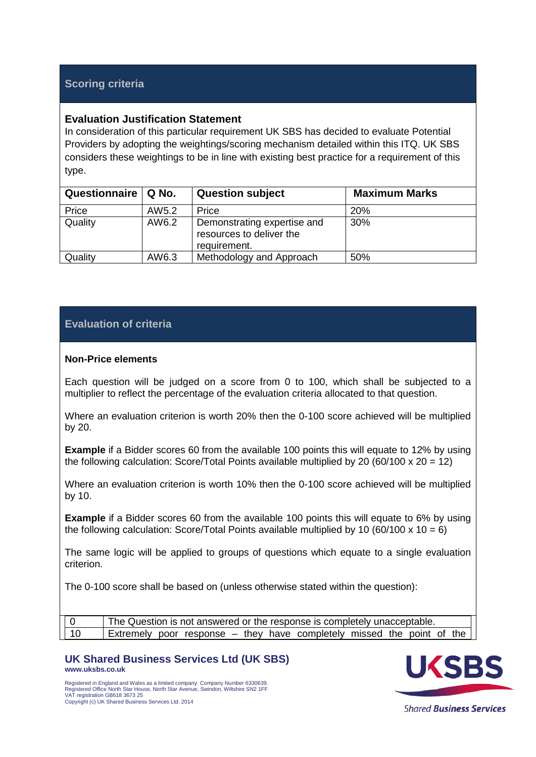### **Scoring criteria**

### **Evaluation Justification Statement**

In consideration of this particular requirement UK SBS has decided to evaluate Potential Providers by adopting the weightings/scoring mechanism detailed within this ITQ. UK SBS considers these weightings to be in line with existing best practice for a requirement of this type.

| Questionnaire | $\vert$ Q No. | <b>Question subject</b>                                                 | <b>Maximum Marks</b> |
|---------------|---------------|-------------------------------------------------------------------------|----------------------|
| Price         | AW5.2         | Price                                                                   | 20%                  |
| Quality       | AW6.2         | Demonstrating expertise and<br>resources to deliver the<br>requirement. | 30%                  |
| Quality       | AW6.3         | Methodology and Approach                                                | 50%                  |

### **Evaluation of criteria**

### **Non-Price elements**

Each question will be judged on a score from 0 to 100, which shall be subjected to a multiplier to reflect the percentage of the evaluation criteria allocated to that question.

Where an evaluation criterion is worth 20% then the 0-100 score achieved will be multiplied by 20.

**Example** if a Bidder scores 60 from the available 100 points this will equate to 12% by using the following calculation: Score/Total Points available multiplied by 20 (60/100 x 20 = 12)

Where an evaluation criterion is worth 10% then the 0-100 score achieved will be multiplied by 10.

**Example** if a Bidder scores 60 from the available 100 points this will equate to 6% by using the following calculation: Score/Total Points available multiplied by 10 (60/100 x 10 = 6)

The same logic will be applied to groups of questions which equate to a single evaluation criterion.

The 0-100 score shall be based on (unless otherwise stated within the question):

| The Question is not answered or the response is completely unacceptable. |                                                                        |
|--------------------------------------------------------------------------|------------------------------------------------------------------------|
|                                                                          |                                                                        |
|                                                                          |                                                                        |
|                                                                          | Extremely poor response – they have completely missed the point of the |

**UK Shared Business Services Ltd (UK SBS) www.uksbs.co.uk**





**Shared Business Services**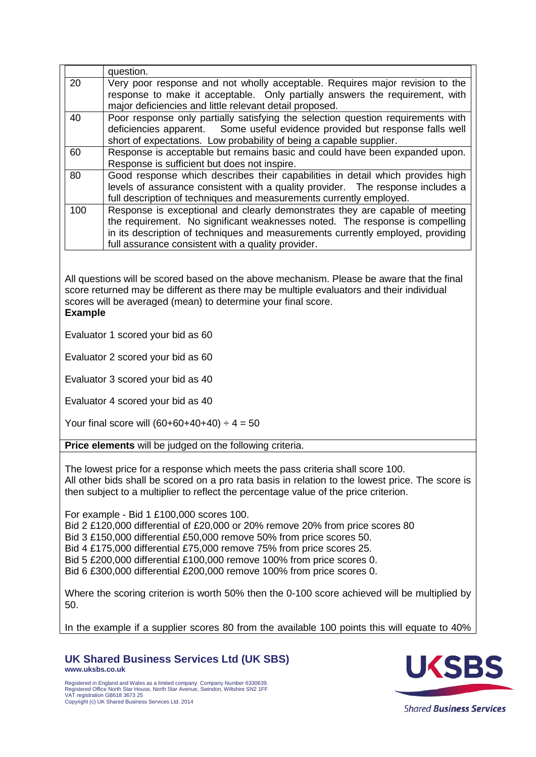| 20                                                                                                                                                                                                                                                                                                                                                                                                                          | question.<br>Very poor response and not wholly acceptable. Requires major revision to the                                                                                                                                                                                                             |  |  |
|-----------------------------------------------------------------------------------------------------------------------------------------------------------------------------------------------------------------------------------------------------------------------------------------------------------------------------------------------------------------------------------------------------------------------------|-------------------------------------------------------------------------------------------------------------------------------------------------------------------------------------------------------------------------------------------------------------------------------------------------------|--|--|
|                                                                                                                                                                                                                                                                                                                                                                                                                             | response to make it acceptable. Only partially answers the requirement, with<br>major deficiencies and little relevant detail proposed.                                                                                                                                                               |  |  |
| 40                                                                                                                                                                                                                                                                                                                                                                                                                          | Poor response only partially satisfying the selection question requirements with<br>deficiencies apparent. Some useful evidence provided but response falls well<br>short of expectations. Low probability of being a capable supplier.                                                               |  |  |
| 60                                                                                                                                                                                                                                                                                                                                                                                                                          | Response is acceptable but remains basic and could have been expanded upon.<br>Response is sufficient but does not inspire.                                                                                                                                                                           |  |  |
| 80                                                                                                                                                                                                                                                                                                                                                                                                                          | Good response which describes their capabilities in detail which provides high<br>levels of assurance consistent with a quality provider. The response includes a<br>full description of techniques and measurements currently employed.                                                              |  |  |
| 100                                                                                                                                                                                                                                                                                                                                                                                                                         | Response is exceptional and clearly demonstrates they are capable of meeting<br>the requirement. No significant weaknesses noted. The response is compelling<br>in its description of techniques and measurements currently employed, providing<br>full assurance consistent with a quality provider. |  |  |
|                                                                                                                                                                                                                                                                                                                                                                                                                             | All questions will be scored based on the above mechanism. Please be aware that the final<br>score returned may be different as there may be multiple evaluators and their individual<br>scores will be averaged (mean) to determine your final score.<br><b>Example</b>                              |  |  |
|                                                                                                                                                                                                                                                                                                                                                                                                                             | Evaluator 1 scored your bid as 60                                                                                                                                                                                                                                                                     |  |  |
|                                                                                                                                                                                                                                                                                                                                                                                                                             | Evaluator 2 scored your bid as 60                                                                                                                                                                                                                                                                     |  |  |
|                                                                                                                                                                                                                                                                                                                                                                                                                             | Evaluator 3 scored your bid as 40                                                                                                                                                                                                                                                                     |  |  |
|                                                                                                                                                                                                                                                                                                                                                                                                                             | Evaluator 4 scored your bid as 40                                                                                                                                                                                                                                                                     |  |  |
| Your final score will $(60+60+40+40) \div 4 = 50$                                                                                                                                                                                                                                                                                                                                                                           |                                                                                                                                                                                                                                                                                                       |  |  |
| Price elements will be judged on the following criteria.                                                                                                                                                                                                                                                                                                                                                                    |                                                                                                                                                                                                                                                                                                       |  |  |
| The lowest price for a response which meets the pass criteria shall score 100.<br>All other bids shall be scored on a pro rata basis in relation to the lowest price. The score is<br>then subject to a multiplier to reflect the percentage value of the price criterion.                                                                                                                                                  |                                                                                                                                                                                                                                                                                                       |  |  |
| For example - Bid 1 £100,000 scores 100.<br>Bid 2 £120,000 differential of £20,000 or 20% remove 20% from price scores 80<br>Bid 3 £150,000 differential £50,000 remove 50% from price scores 50.<br>Bid 4 £175,000 differential £75,000 remove 75% from price scores 25.<br>Bid 5 £200,000 differential £100,000 remove 100% from price scores 0.<br>Bid 6 £300,000 differential £200,000 remove 100% from price scores 0. |                                                                                                                                                                                                                                                                                                       |  |  |
| Where the scoring criterion is worth 50% then the 0-100 score achieved will be multiplied by<br>50.                                                                                                                                                                                                                                                                                                                         |                                                                                                                                                                                                                                                                                                       |  |  |

In the example if a supplier scores 80 from the available 100 points this will equate to 40%

**UK Shared Business Services Ltd (UK SBS) www.uksbs.co.uk**



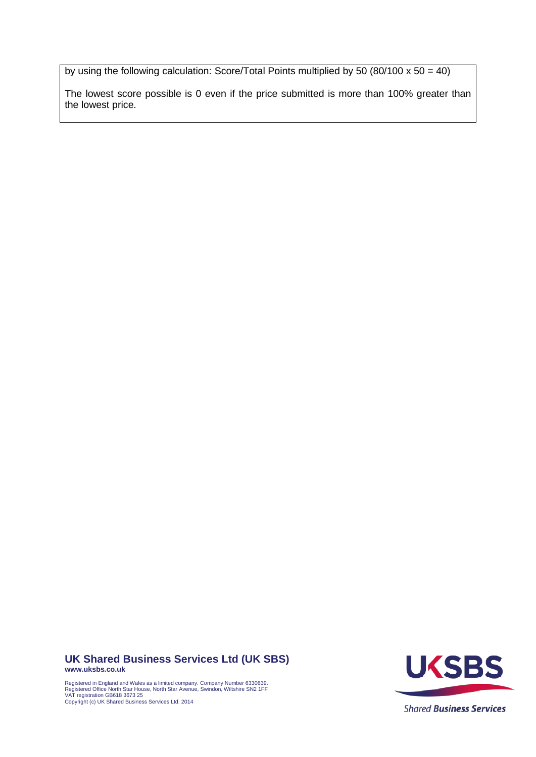by using the following calculation: Score/Total Points multiplied by 50 (80/100 x 50 = 40)

The lowest score possible is 0 even if the price submitted is more than 100% greater than the lowest price.

#### **UK Shared Business Services Ltd (UK SBS) www.uksbs.co.uk**

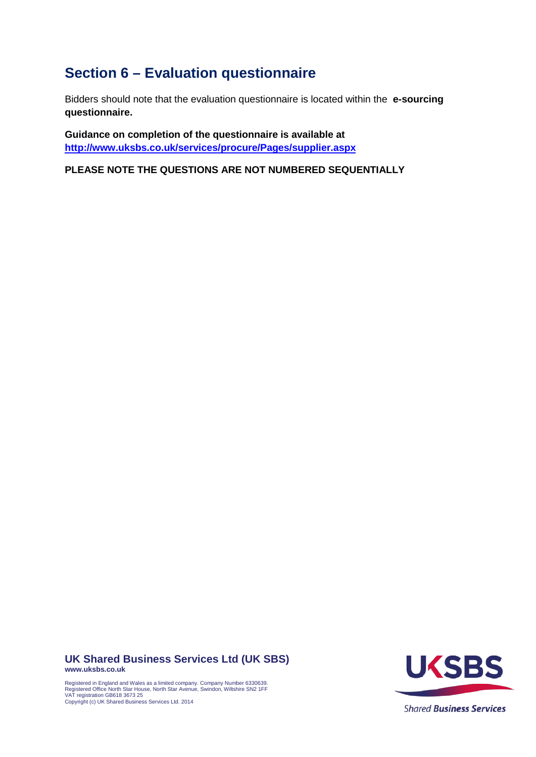# <span id="page-17-0"></span>**Section 6 – Evaluation questionnaire**

Bidders should note that the evaluation questionnaire is located within the **e-sourcing questionnaire.**

**Guidance on completion of the questionnaire is available at <http://www.uksbs.co.uk/services/procure/Pages/supplier.aspx>**

**PLEASE NOTE THE QUESTIONS ARE NOT NUMBERED SEQUENTIALLY**

**UK Shared Business Services Ltd (UK SBS) www.uksbs.co.uk**

Registered in England and Wales as a limited company. Company Number 6330639. Registered Office North Star House, North Star Avenue, Swindon, Wiltshire SN2 1FF VAT registration GB618 3673 25 Copyright (c) UK Shared Business Services Ltd. 2014



**Shared Business Services**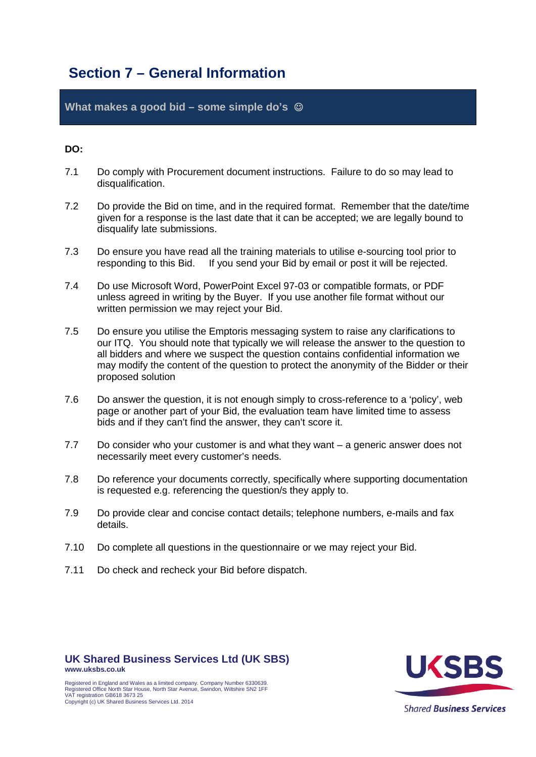### <span id="page-18-0"></span>**Section 7 – General Information**

**What makes a good bid – some simple do's** 

### **DO:**

- 7.1 Do comply with Procurement document instructions. Failure to do so may lead to disqualification.
- 7.2 Do provide the Bid on time, and in the required format. Remember that the date/time given for a response is the last date that it can be accepted; we are legally bound to disqualify late submissions.
- 7.3 Do ensure you have read all the training materials to utilise e-sourcing tool prior to responding to this Bid. If you send your Bid by email or post it will be rejected.
- 7.4 Do use Microsoft Word, PowerPoint Excel 97-03 or compatible formats, or PDF unless agreed in writing by the Buyer. If you use another file format without our written permission we may reject your Bid.
- 7.5 Do ensure you utilise the Emptoris messaging system to raise any clarifications to our ITQ. You should note that typically we will release the answer to the question to all bidders and where we suspect the question contains confidential information we may modify the content of the question to protect the anonymity of the Bidder or their proposed solution
- 7.6 Do answer the question, it is not enough simply to cross-reference to a 'policy', web page or another part of your Bid, the evaluation team have limited time to assess bids and if they can't find the answer, they can't score it.
- 7.7 Do consider who your customer is and what they want a generic answer does not necessarily meet every customer's needs.
- 7.8 Do reference your documents correctly, specifically where supporting documentation is requested e.g. referencing the question/s they apply to.
- 7.9 Do provide clear and concise contact details; telephone numbers, e-mails and fax details.
- 7.10 Do complete all questions in the questionnaire or we may reject your Bid.
- 7.11 Do check and recheck your Bid before dispatch.



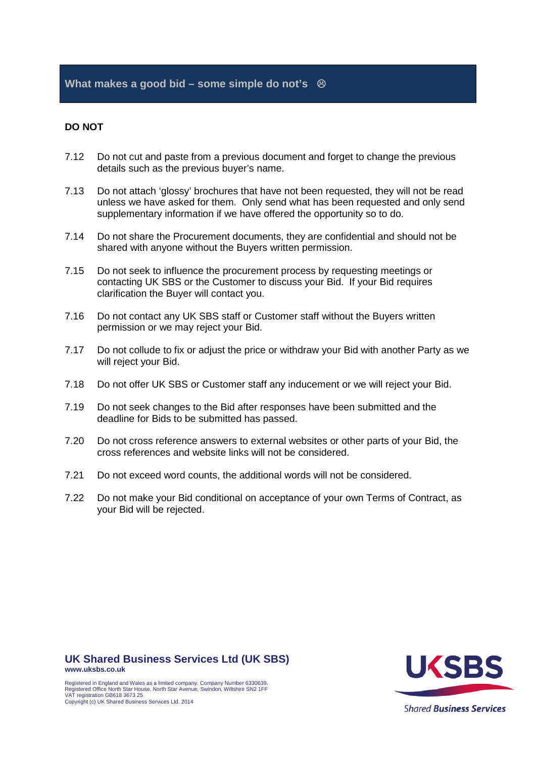### **DO NOT**

- 7.12 Do not cut and paste from a previous document and forget to change the previous details such as the previous buyer's name.
- 7.13 Do not attach 'glossy' brochures that have not been requested, they will not be read unless we have asked for them. Only send what has been requested and only send supplementary information if we have offered the opportunity so to do.
- 7.14 Do not share the Procurement documents, they are confidential and should not be shared with anyone without the Buyers written permission.
- 7.15 Do not seek to influence the procurement process by requesting meetings or contacting UK SBS or the Customer to discuss your Bid. If your Bid requires clarification the Buyer will contact you.
- 7.16 Do not contact any UK SBS staff or Customer staff without the Buyers written permission or we may reject your Bid.
- 7.17 Do not collude to fix or adjust the price or withdraw your Bid with another Party as we will reject your Bid.
- 7.18 Do not offer UK SBS or Customer staff any inducement or we will reject your Bid.
- 7.19 Do not seek changes to the Bid after responses have been submitted and the deadline for Bids to be submitted has passed.
- 7.20 Do not cross reference answers to external websites or other parts of your Bid, the cross references and website links will not be considered.
- 7.21 Do not exceed word counts, the additional words will not be considered.
- 7.22 Do not make your Bid conditional on acceptance of your own Terms of Contract, as your Bid will be rejected.

**UK Shared Business Services Ltd (UK SBS) www.uksbs.co.uk**

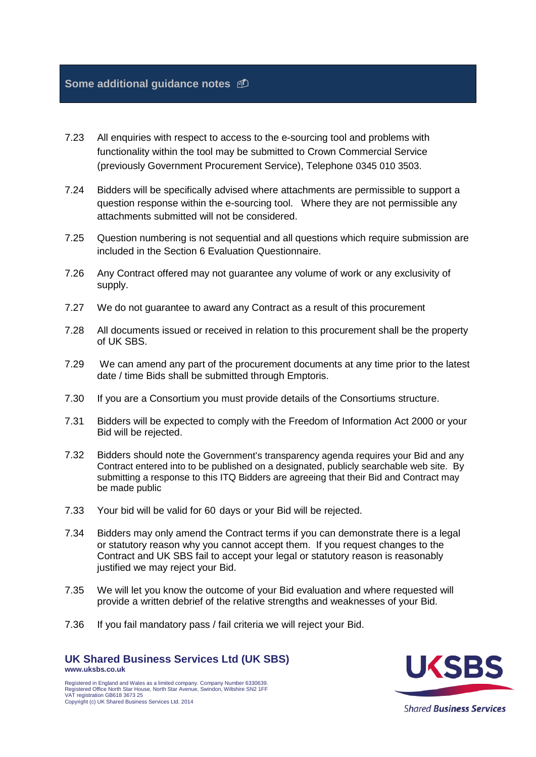### **Some additional guidance notes**

- 7.23 All enquiries with respect to access to the e-sourcing tool and problems with functionality within the tool may be submitted to Crown Commercial Service (previously Government Procurement Service), Telephone 0345 010 3503.
- 7.24 Bidders will be specifically advised where attachments are permissible to support a question response within the e-sourcing tool. Where they are not permissible any attachments submitted will not be considered.
- 7.25 Question numbering is not sequential and all questions which require submission are included in the Section 6 Evaluation Questionnaire.
- 7.26 Any Contract offered may not guarantee any volume of work or any exclusivity of supply.
- 7.27 We do not guarantee to award any Contract as a result of this procurement
- 7.28 All documents issued or received in relation to this procurement shall be the property of UK SBS.
- 7.29 We can amend any part of the procurement documents at any time prior to the latest date / time Bids shall be submitted through Emptoris.
- 7.30 If you are a Consortium you must provide details of the Consortiums structure.
- 7.31 Bidders will be expected to comply with the Freedom of Information Act 2000 or your Bid will be rejected.
- 7.32 Bidders should note the Government's transparency agenda requires your Bid and any Contract entered into to be published on a designated, publicly searchable web site. By submitting a response to this ITQ Bidders are agreeing that their Bid and Contract may be made public
- 7.33 Your bid will be valid for 60 days or your Bid will be rejected.
- 7.34 Bidders may only amend the Contract terms if you can demonstrate there is a legal or statutory reason why you cannot accept them. If you request changes to the Contract and UK SBS fail to accept your legal or statutory reason is reasonably justified we may reject your Bid.
- 7.35 We will let you know the outcome of your Bid evaluation and where requested will provide a written debrief of the relative strengths and weaknesses of your Bid.
- 7.36 If you fail mandatory pass / fail criteria we will reject your Bid.

**UK Shared Business Services Ltd (UK SBS) www.uksbs.co.uk**



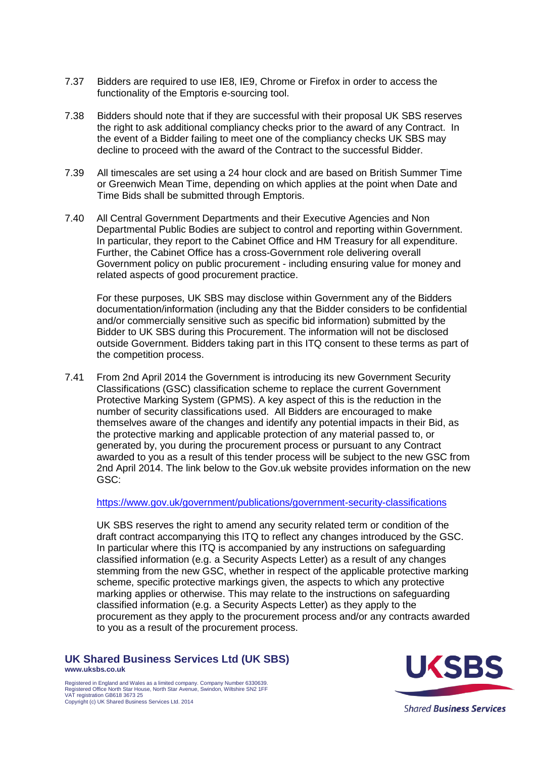- 7.37 Bidders are required to use IE8, IE9, Chrome or Firefox in order to access the functionality of the Emptoris e-sourcing tool.
- 7.38 Bidders should note that if they are successful with their proposal UK SBS reserves the right to ask additional compliancy checks prior to the award of any Contract. In the event of a Bidder failing to meet one of the compliancy checks UK SBS may decline to proceed with the award of the Contract to the successful Bidder.
- 7.39 All timescales are set using a 24 hour clock and are based on British Summer Time or Greenwich Mean Time, depending on which applies at the point when Date and Time Bids shall be submitted through Emptoris.
- 7.40 All Central Government Departments and their Executive Agencies and Non Departmental Public Bodies are subject to control and reporting within Government. In particular, they report to the Cabinet Office and HM Treasury for all expenditure. Further, the Cabinet Office has a cross-Government role delivering overall Government policy on public procurement - including ensuring value for money and related aspects of good procurement practice.

For these purposes, UK SBS may disclose within Government any of the Bidders documentation/information (including any that the Bidder considers to be confidential and/or commercially sensitive such as specific bid information) submitted by the Bidder to UK SBS during this Procurement. The information will not be disclosed outside Government. Bidders taking part in this ITQ consent to these terms as part of the competition process.

7.41 From 2nd April 2014 the Government is introducing its new Government Security Classifications (GSC) classification scheme to replace the current Government Protective Marking System (GPMS). A key aspect of this is the reduction in the number of security classifications used. All Bidders are encouraged to make themselves aware of the changes and identify any potential impacts in their Bid, as the protective marking and applicable protection of any material passed to, or generated by, you during the procurement process or pursuant to any Contract awarded to you as a result of this tender process will be subject to the new GSC from 2nd April 2014. The link below to the Gov.uk website provides information on the new GSC:

<https://www.gov.uk/government/publications/government-security-classifications>

UK SBS reserves the right to amend any security related term or condition of the draft contract accompanying this ITQ to reflect any changes introduced by the GSC. In particular where this ITQ is accompanied by any instructions on safeguarding classified information (e.g. a Security Aspects Letter) as a result of any changes stemming from the new GSC, whether in respect of the applicable protective marking scheme, specific protective markings given, the aspects to which any protective marking applies or otherwise. This may relate to the instructions on safeguarding classified information (e.g. a Security Aspects Letter) as they apply to the procurement as they apply to the procurement process and/or any contracts awarded to you as a result of the procurement process.

**UK Shared Business Services Ltd (UK SBS) www.uksbs.co.uk**

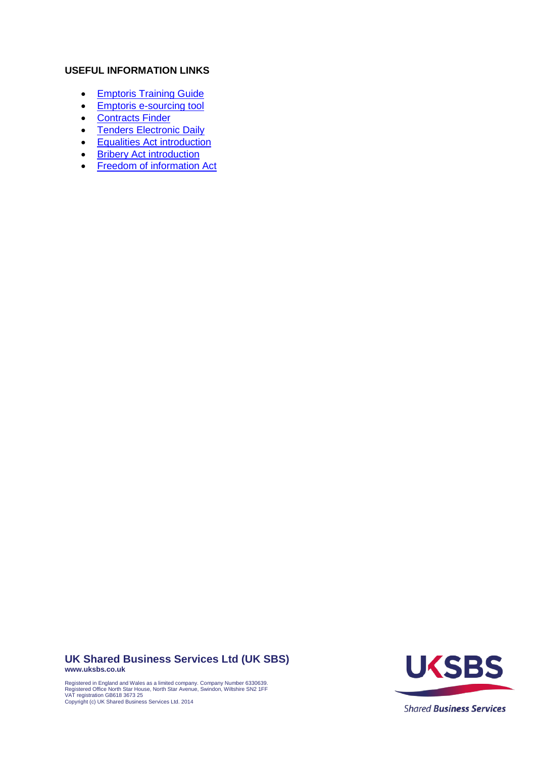### **USEFUL INFORMATION LINKS**

- [Emptoris Training Guide](http://www.uksbs.co.uk/services/procure/Pages/supplier.aspx)
- [Emptoris e-sourcing tool](https://gpsesourcing.cabinetoffice.gov.uk/sso/jsp/login.jsp)
- [Contracts Finder](https://online.contractsfinder.businesslink.gov.uk/)
- [Tenders Electronic Daily](http://ted.europa.eu/TED/main/HomePage.do)
- **[Equalities Act introduction](http://www.equalityhumanrights.com/advice-and-guidance/new-equality-act-guidance/equality-act-starter-kit/video-understanding-the-equality-act-2010/)**
- [Bribery Act introduction](https://www.gov.uk/government/publications/bribery-act-2010-guidance)
- [Freedom of information Act](http://www.ico.org.uk/for_organisations/guidance_index/freedom_of_information_and_environmental_information)

**UK Shared Business Services Ltd (UK SBS) www.uksbs.co.uk**

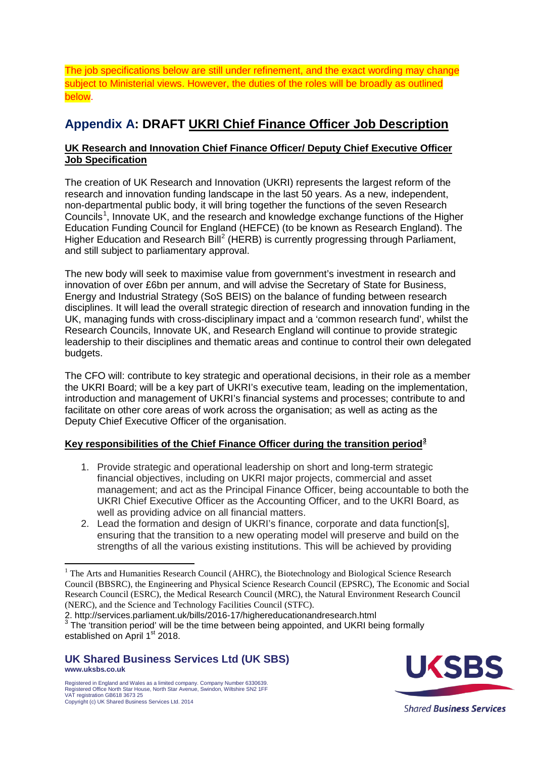The job specifications below are still under refinement, and the exact wording may change subject to Ministerial views. However, the duties of the roles will be broadly as outlined below.

### **Appendix A: DRAFT UKRI Chief Finance Officer Job Description**

### **UK Research and Innovation Chief Finance Officer/ Deputy Chief Executive Officer Job Specification**

The creation of UK Research and Innovation (UKRI) represents the largest reform of the research and innovation funding landscape in the last 50 years. As a new, independent, non-departmental public body, it will bring together the functions of the seven Research Councils<sup>[1](#page-23-0)</sup>, Innovate UK, and the research and knowledge exchange functions of the Higher Education Funding Council for England (HEFCE) (to be known as Research England). The Higher Education and Research Bill<sup>[2](#page-23-1)</sup> (HERB) is currently progressing through Parliament, and still subject to parliamentary approval.

The new body will seek to maximise value from government's investment in research and innovation of over £6bn per annum, and will advise the Secretary of State for Business, Energy and Industrial Strategy (SoS BEIS) on the balance of funding between research disciplines. It will lead the overall strategic direction of research and innovation funding in the UK, managing funds with cross-disciplinary impact and a 'common research fund', whilst the Research Councils, Innovate UK, and Research England will continue to provide strategic leadership to their disciplines and thematic areas and continue to control their own delegated budgets.

The CFO will: contribute to key strategic and operational decisions, in their role as a member the UKRI Board; will be a key part of UKRI's executive team, leading on the implementation, introduction and management of UKRI's financial systems and processes; contribute to and facilitate on other core areas of work across the organisation; as well as acting as the Deputy Chief Executive Officer of the organisation.

### **Key responsibilities of the Chief Finance Officer during the transition period[3](#page-23-2)**

- 1. Provide strategic and operational leadership on short and long-term strategic financial objectives, including on UKRI major projects, commercial and asset management; and act as the Principal Finance Officer, being accountable to both the UKRI Chief Executive Officer as the Accounting Officer, and to the UKRI Board, as well as providing advice on all financial matters.
- 2. Lead the formation and design of UKRI's finance, corporate and data function[s], ensuring that the transition to a new operating model will preserve and build on the strengths of all the various existing institutions. This will be achieved by providing

**UK Shared Business Services Ltd (UK SBS) www.uksbs.co.uk**

 $\overline{a}$ 



<span id="page-23-0"></span><sup>&</sup>lt;sup>1</sup> The Arts and Humanities Research Council (AHRC), the Biotechnology and Biological Science Research Council (BBSRC), the Engineering and Physical Science Research Council (EPSRC), The Economic and Social Research Council (ESRC), the Medical Research Council (MRC), the Natural Environment Research Council (NERC), and the Science and Technology Facilities Council (STFC).<br>2. http://services.parliament.uk/bills/2016-17/highereducationandresearch.html

<span id="page-23-2"></span><span id="page-23-1"></span><sup>&</sup>lt;sup>2. http://services.parliament.uk/bills</sup>/<sub>3</sub> The 'transition period' will be the time between being appointed, and UKRI being formally established on April 1<sup>st</sup> 2018.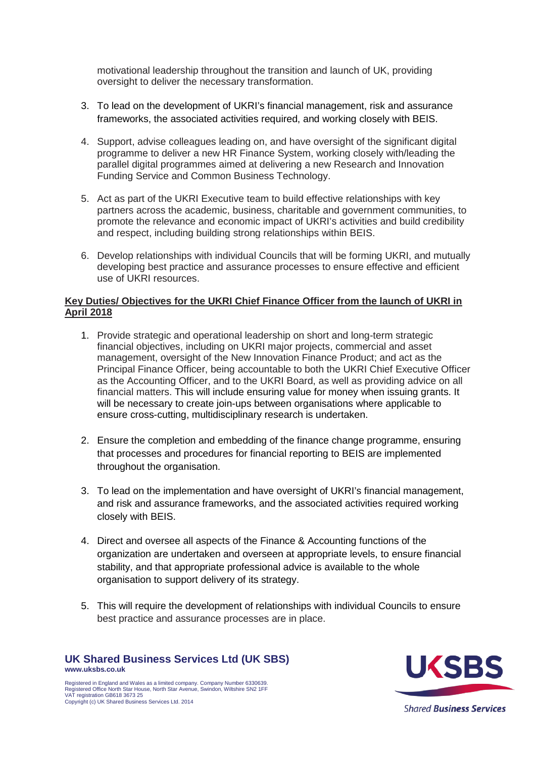motivational leadership throughout the transition and launch of UK, providing oversight to deliver the necessary transformation.

- 3. To lead on the development of UKRI's financial management, risk and assurance frameworks, the associated activities required, and working closely with BEIS.
- 4. Support, advise colleagues leading on, and have oversight of the significant digital programme to deliver a new HR Finance System, working closely with/leading the parallel digital programmes aimed at delivering a new Research and Innovation Funding Service and Common Business Technology.
- 5. Act as part of the UKRI Executive team to build effective relationships with key partners across the academic, business, charitable and government communities, to promote the relevance and economic impact of UKRI's activities and build credibility and respect, including building strong relationships within BEIS.
- 6. Develop relationships with individual Councils that will be forming UKRI, and mutually developing best practice and assurance processes to ensure effective and efficient use of UKRI resources.

### **Key Duties/ Objectives for the UKRI Chief Finance Officer from the launch of UKRI in April 2018**

- 1. Provide strategic and operational leadership on short and long-term strategic financial objectives, including on UKRI major projects, commercial and asset management, oversight of the New Innovation Finance Product; and act as the Principal Finance Officer, being accountable to both the UKRI Chief Executive Officer as the Accounting Officer, and to the UKRI Board, as well as providing advice on all financial matters. This will include ensuring value for money when issuing grants. It will be necessary to create join-ups between organisations where applicable to ensure cross-cutting, multidisciplinary research is undertaken.
- 2. Ensure the completion and embedding of the finance change programme, ensuring that processes and procedures for financial reporting to BEIS are implemented throughout the organisation.
- 3. To lead on the implementation and have oversight of UKRI's financial management, and risk and assurance frameworks, and the associated activities required working closely with BEIS.
- 4. Direct and oversee all aspects of the Finance & Accounting functions of the organization are undertaken and overseen at appropriate levels, to ensure financial stability, and that appropriate professional advice is available to the whole organisation to support delivery of its strategy.
- 5. This will require the development of relationships with individual Councils to ensure best practice and assurance processes are in place.

**UK Shared Business Services Ltd (UK SBS) www.uksbs.co.uk** Registered in England and Wales as a limited company. Company Number 6330639. Registered Office North Star House, North Star Avenue, Swindon, Wiltshire SN2 1FF VAT registration GB618 3673 25

Copyright (c) UK Shared Business Services Ltd. 2014

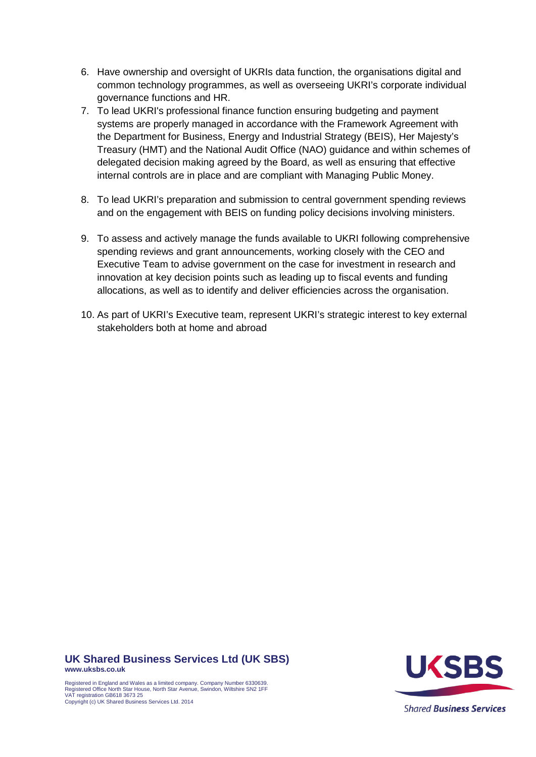- 6. Have ownership and oversight of UKRIs data function, the organisations digital and common technology programmes, as well as overseeing UKRI's corporate individual governance functions and HR.
- 7. To lead UKRI's professional finance function ensuring budgeting and payment systems are properly managed in accordance with the Framework Agreement with the Department for Business, Energy and Industrial Strategy (BEIS), Her Majesty's Treasury (HMT) and the National Audit Office (NAO) guidance and within schemes of delegated decision making agreed by the Board, as well as ensuring that effective internal controls are in place and are compliant with Managing Public Money.
- 8. To lead UKRI's preparation and submission to central government spending reviews and on the engagement with BEIS on funding policy decisions involving ministers.
- 9. To assess and actively manage the funds available to UKRI following comprehensive spending reviews and grant announcements, working closely with the CEO and Executive Team to advise government on the case for investment in research and innovation at key decision points such as leading up to fiscal events and funding allocations, as well as to identify and deliver efficiencies across the organisation.
- 10. As part of UKRI's Executive team, represent UKRI's strategic interest to key external stakeholders both at home and abroad

**UK Shared Business Services Ltd (UK SBS) www.uksbs.co.uk**

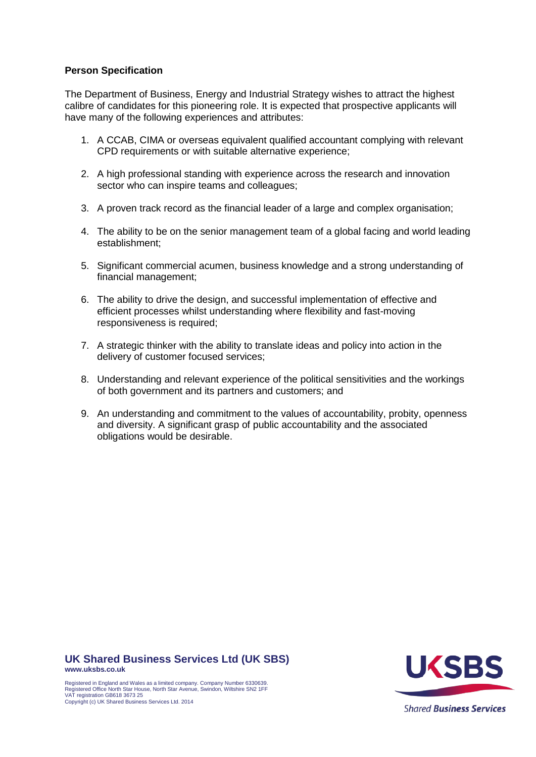### **Person Specification**

The Department of Business, Energy and Industrial Strategy wishes to attract the highest calibre of candidates for this pioneering role. It is expected that prospective applicants will have many of the following experiences and attributes:

- 1. A CCAB, CIMA or overseas equivalent qualified accountant complying with relevant CPD requirements or with suitable alternative experience;
- 2. A high professional standing with experience across the research and innovation sector who can inspire teams and colleagues;
- 3. A proven track record as the financial leader of a large and complex organisation;
- 4. The ability to be on the senior management team of a global facing and world leading establishment;
- 5. Significant commercial acumen, business knowledge and a strong understanding of financial management;
- 6. The ability to drive the design, and successful implementation of effective and efficient processes whilst understanding where flexibility and fast-moving responsiveness is required;
- 7. A strategic thinker with the ability to translate ideas and policy into action in the delivery of customer focused services;
- 8. Understanding and relevant experience of the political sensitivities and the workings of both government and its partners and customers; and
- 9. An understanding and commitment to the values of accountability, probity, openness and diversity. A significant grasp of public accountability and the associated obligations would be desirable.

**UK Shared Business Services Ltd (UK SBS) www.uksbs.co.uk**

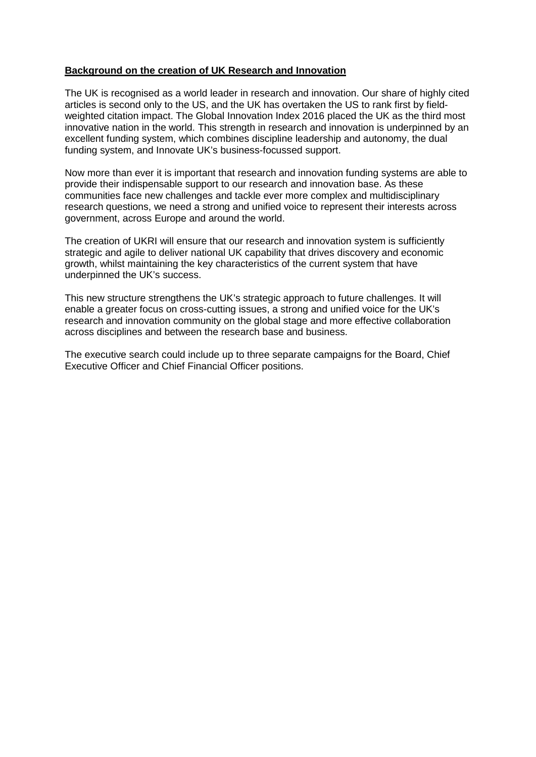### **Background on the creation of UK Research and Innovation**

The UK is recognised as a world leader in research and innovation. Our share of highly cited articles is second only to the US, and the UK has overtaken the US to rank first by fieldweighted citation impact. The Global Innovation Index 2016 placed the UK as the third most innovative nation in the world. This strength in research and innovation is underpinned by an excellent funding system, which combines discipline leadership and autonomy, the dual funding system, and Innovate UK's business-focussed support.

Now more than ever it is important that research and innovation funding systems are able to provide their indispensable support to our research and innovation base. As these communities face new challenges and tackle ever more complex and multidisciplinary research questions, we need a strong and unified voice to represent their interests across government, across Europe and around the world.

The creation of UKRI will ensure that our research and innovation system is sufficiently strategic and agile to deliver national UK capability that drives discovery and economic growth, whilst maintaining the key characteristics of the current system that have underpinned the UK's success.

This new structure strengthens the UK's strategic approach to future challenges. It will enable a greater focus on cross-cutting issues, a strong and unified voice for the UK's research and innovation community on the global stage and more effective collaboration across disciplines and between the research base and business.

The executive search could include up to three separate campaigns for the Board, Chief Executive Officer and Chief Financial Officer positions.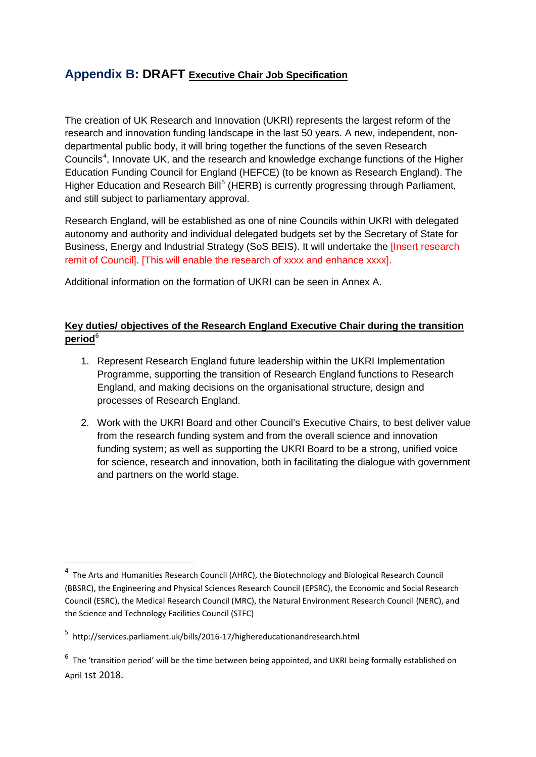### **Appendix B: DRAFT Executive Chair Job Specification**

The creation of UK Research and Innovation (UKRI) represents the largest reform of the research and innovation funding landscape in the last 50 years. A new, independent, nondepartmental public body, it will bring together the functions of the seven Research Councils<sup>[4](#page-28-0)</sup>, Innovate UK, and the research and knowledge exchange functions of the Higher Education Funding Council for England (HEFCE) (to be known as Research England). The Higher Education and Research Bill<sup>[5](#page-28-1)</sup> (HERB) is currently progressing through Parliament, and still subject to parliamentary approval.

Research England, will be established as one of nine Councils within UKRI with delegated autonomy and authority and individual delegated budgets set by the Secretary of State for Business, Energy and Industrial Strategy (SoS BEIS). It will undertake the [Insert research remit of Council]. [This will enable the research of xxxx and enhance xxxx].

Additional information on the formation of UKRI can be seen in Annex A.

### **Key duties/ objectives of the Research England Executive Chair during the transition period**[6](#page-28-2)

- 1. Represent Research England future leadership within the UKRI Implementation Programme, supporting the transition of Research England functions to Research England, and making decisions on the organisational structure, design and processes of Research England.
- 2. Work with the UKRI Board and other Council's Executive Chairs, to best deliver value from the research funding system and from the overall science and innovation funding system; as well as supporting the UKRI Board to be a strong, unified voice for science, research and innovation, both in facilitating the dialogue with government and partners on the world stage.

**.** 

<span id="page-28-0"></span> $4$  The Arts and Humanities Research Council (AHRC), the Biotechnology and Biological Research Council (BBSRC), the Engineering and Physical Sciences Research Council (EPSRC), the Economic and Social Research Council (ESRC), the Medical Research Council (MRC), the Natural Environment Research Council (NERC), and the Science and Technology Facilities Council (STFC)

<span id="page-28-1"></span><sup>5</sup> http://services.parliament.uk/bills/2016-17/highereducationandresearch.html

<span id="page-28-2"></span> $6\,$  The 'transition period' will be the time between being appointed, and UKRI being formally established on April 1st 2018.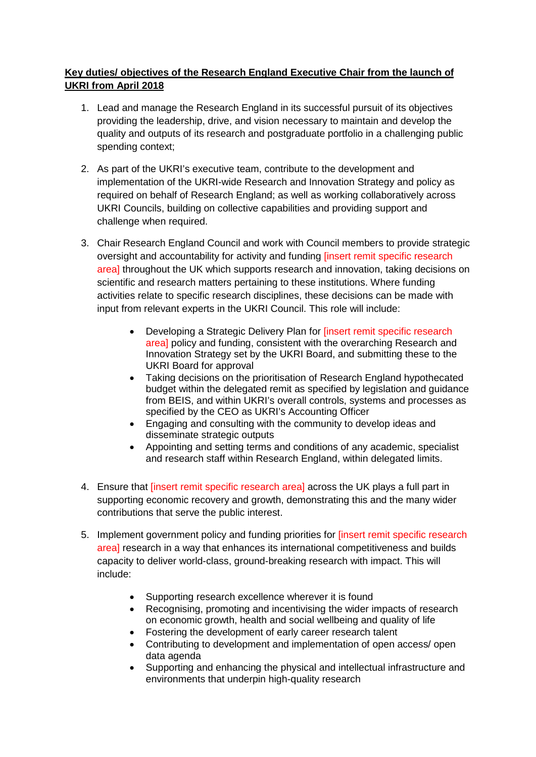### **Key duties/ objectives of the Research England Executive Chair from the launch of UKRI from April 2018**

- 1. Lead and manage the Research England in its successful pursuit of its objectives providing the leadership, drive, and vision necessary to maintain and develop the quality and outputs of its research and postgraduate portfolio in a challenging public spending context;
- 2. As part of the UKRI's executive team, contribute to the development and implementation of the UKRI-wide Research and Innovation Strategy and policy as required on behalf of Research England; as well as working collaboratively across UKRI Councils, building on collective capabilities and providing support and challenge when required.
- 3. Chair Research England Council and work with Council members to provide strategic oversight and accountability for activity and funding [insert remit specific research area] throughout the UK which supports research and innovation, taking decisions on scientific and research matters pertaining to these institutions. Where funding activities relate to specific research disciplines, these decisions can be made with input from relevant experts in the UKRI Council. This role will include:
	- Developing a Strategic Delivery Plan for [insert remit specific research areal policy and funding, consistent with the overarching Research and Innovation Strategy set by the UKRI Board, and submitting these to the UKRI Board for approval
	- Taking decisions on the prioritisation of Research England hypothecated budget within the delegated remit as specified by legislation and guidance from BEIS, and within UKRI's overall controls, systems and processes as specified by the CEO as UKRI's Accounting Officer
	- Engaging and consulting with the community to develop ideas and disseminate strategic outputs
	- Appointing and setting terms and conditions of any academic, specialist and research staff within Research England, within delegated limits.
- 4. Ensure that *[insert remit specific research area]* across the UK plays a full part in supporting economic recovery and growth, demonstrating this and the many wider contributions that serve the public interest.
- 5. Implement government policy and funding priorities for [insert remit specific research area] research in a way that enhances its international competitiveness and builds capacity to deliver world-class, ground-breaking research with impact. This will include:
	- Supporting research excellence wherever it is found
	- Recognising, promoting and incentivising the wider impacts of research on economic growth, health and social wellbeing and quality of life
	- Fostering the development of early career research talent
	- Contributing to development and implementation of open access/ open data agenda
	- Supporting and enhancing the physical and intellectual infrastructure and environments that underpin high-quality research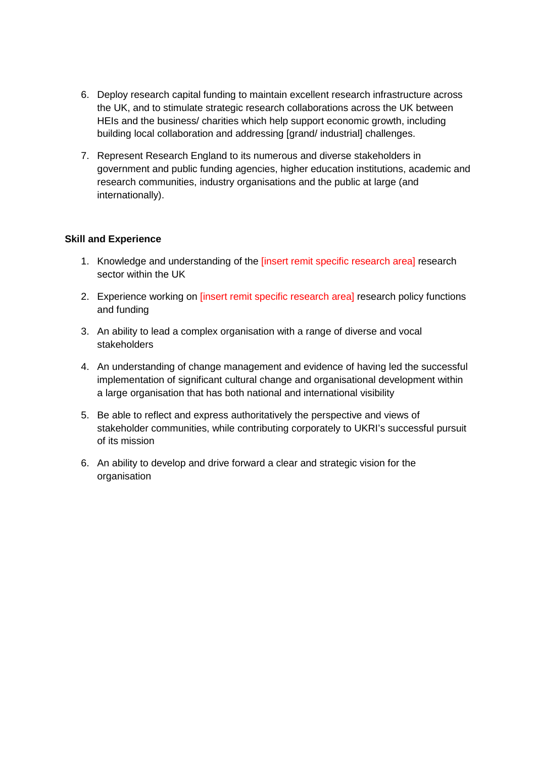- 6. Deploy research capital funding to maintain excellent research infrastructure across the UK, and to stimulate strategic research collaborations across the UK between HEIs and the business/ charities which help support economic growth, including building local collaboration and addressing [grand/ industrial] challenges.
- 7. Represent Research England to its numerous and diverse stakeholders in government and public funding agencies, higher education institutions, academic and research communities, industry organisations and the public at large (and internationally).

### **Skill and Experience**

- 1. Knowledge and understanding of the [insert remit specific research area] research sector within the UK
- 2. Experience working on *[insert remit specific research area]* research policy functions and funding
- 3. An ability to lead a complex organisation with a range of diverse and vocal stakeholders
- 4. An understanding of change management and evidence of having led the successful implementation of significant cultural change and organisational development within a large organisation that has both national and international visibility
- 5. Be able to reflect and express authoritatively the perspective and views of stakeholder communities, while contributing corporately to UKRI's successful pursuit of its mission
- 6. An ability to develop and drive forward a clear and strategic vision for the organisation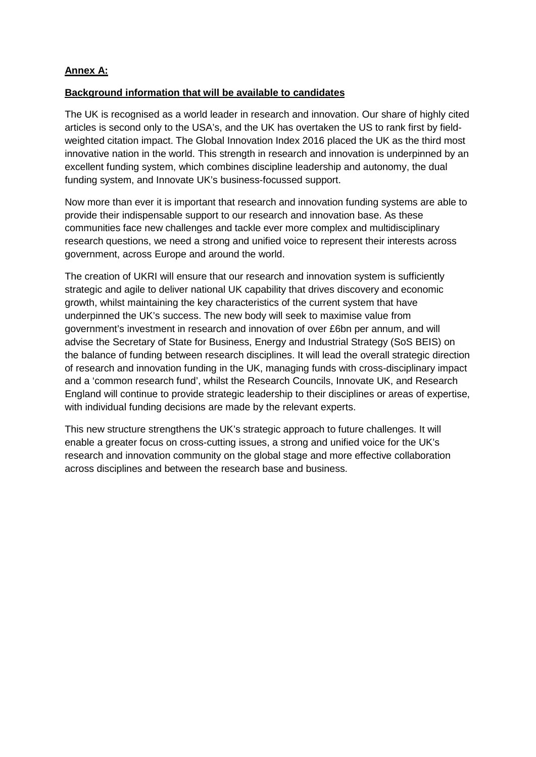### **Annex A:**

### **Background information that will be available to candidates**

The UK is recognised as a world leader in research and innovation. Our share of highly cited articles is second only to the USA's, and the UK has overtaken the US to rank first by fieldweighted citation impact. The Global Innovation Index 2016 placed the UK as the third most innovative nation in the world. This strength in research and innovation is underpinned by an excellent funding system, which combines discipline leadership and autonomy, the dual funding system, and Innovate UK's business-focussed support.

Now more than ever it is important that research and innovation funding systems are able to provide their indispensable support to our research and innovation base. As these communities face new challenges and tackle ever more complex and multidisciplinary research questions, we need a strong and unified voice to represent their interests across government, across Europe and around the world.

The creation of UKRI will ensure that our research and innovation system is sufficiently strategic and agile to deliver national UK capability that drives discovery and economic growth, whilst maintaining the key characteristics of the current system that have underpinned the UK's success. The new body will seek to maximise value from government's investment in research and innovation of over £6bn per annum, and will advise the Secretary of State for Business, Energy and Industrial Strategy (SoS BEIS) on the balance of funding between research disciplines. It will lead the overall strategic direction of research and innovation funding in the UK, managing funds with cross-disciplinary impact and a 'common research fund', whilst the Research Councils, Innovate UK, and Research England will continue to provide strategic leadership to their disciplines or areas of expertise, with individual funding decisions are made by the relevant experts.

This new structure strengthens the UK's strategic approach to future challenges. It will enable a greater focus on cross-cutting issues, a strong and unified voice for the UK's research and innovation community on the global stage and more effective collaboration across disciplines and between the research base and business.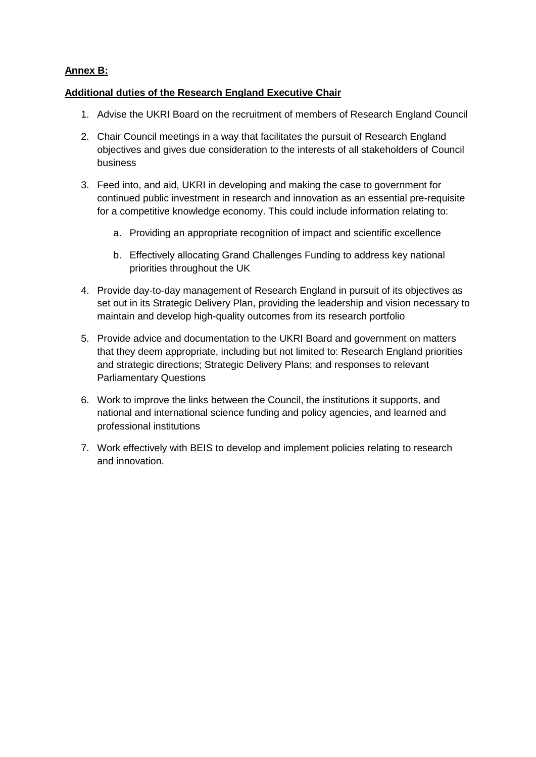### **Annex B:**

### **Additional duties of the Research England Executive Chair**

- 1. Advise the UKRI Board on the recruitment of members of Research England Council
- 2. Chair Council meetings in a way that facilitates the pursuit of Research England objectives and gives due consideration to the interests of all stakeholders of Council business
- 3. Feed into, and aid, UKRI in developing and making the case to government for continued public investment in research and innovation as an essential pre-requisite for a competitive knowledge economy. This could include information relating to:
	- a. Providing an appropriate recognition of impact and scientific excellence
	- b. Effectively allocating Grand Challenges Funding to address key national priorities throughout the UK
- 4. Provide day-to-day management of Research England in pursuit of its objectives as set out in its Strategic Delivery Plan, providing the leadership and vision necessary to maintain and develop high-quality outcomes from its research portfolio
- 5. Provide advice and documentation to the UKRI Board and government on matters that they deem appropriate, including but not limited to: Research England priorities and strategic directions; Strategic Delivery Plans; and responses to relevant Parliamentary Questions
- 6. Work to improve the links between the Council, the institutions it supports, and national and international science funding and policy agencies, and learned and professional institutions
- 7. Work effectively with BEIS to develop and implement policies relating to research and innovation.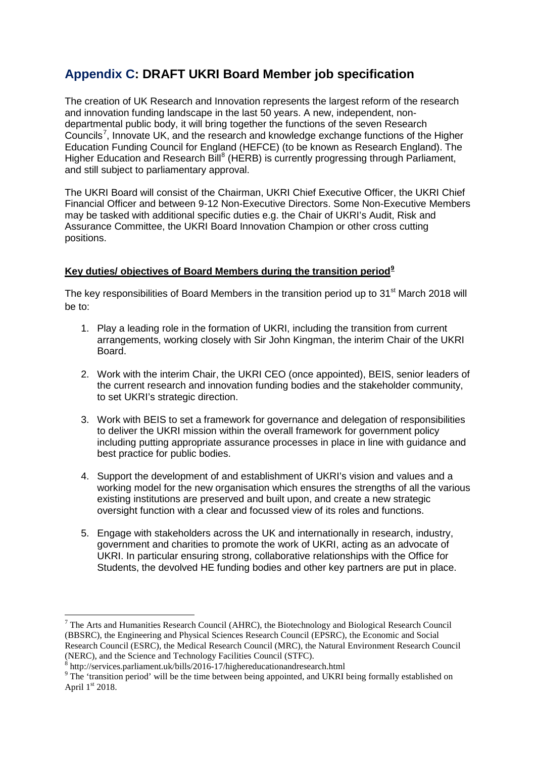### **Appendix C: DRAFT UKRI Board Member job specification**

The creation of UK Research and Innovation represents the largest reform of the research and innovation funding landscape in the last 50 years. A new, independent, nondepartmental public body, it will bring together the functions of the seven Research Councils<sup>[7](#page-33-0)</sup>, Innovate UK, and the research and knowledge exchange functions of the Higher Education Funding Council for England (HEFCE) (to be known as Research England). The Higher Education and Research Bill<sup>[8](#page-33-1)</sup> (HERB) is currently progressing through Parliament, and still subject to parliamentary approval.

The UKRI Board will consist of the Chairman, UKRI Chief Executive Officer, the UKRI Chief Financial Officer and between 9-12 Non-Executive Directors. Some Non-Executive Members may be tasked with additional specific duties e.g. the Chair of UKRI's Audit, Risk and Assurance Committee, the UKRI Board Innovation Champion or other cross cutting positions.

### **Key duties/ objectives of Board Members during the transition period[9](#page-33-2)**

The key responsibilities of Board Members in the transition period up to  $31<sup>st</sup>$  March 2018 will be to:

- 1. Play a leading role in the formation of UKRI, including the transition from current arrangements, working closely with Sir John Kingman, the interim Chair of the UKRI Board.
- 2. Work with the interim Chair, the UKRI CEO (once appointed), BEIS, senior leaders of the current research and innovation funding bodies and the stakeholder community, to set UKRI's strategic direction.
- 3. Work with BEIS to set a framework for governance and delegation of responsibilities to deliver the UKRI mission within the overall framework for government policy including putting appropriate assurance processes in place in line with guidance and best practice for public bodies.
- 4. Support the development of and establishment of UKRI's vision and values and a working model for the new organisation which ensures the strengths of all the various existing institutions are preserved and built upon, and create a new strategic oversight function with a clear and focussed view of its roles and functions.
- 5. Engage with stakeholders across the UK and internationally in research, industry, government and charities to promote the work of UKRI, acting as an advocate of UKRI. In particular ensuring strong, collaborative relationships with the Office for Students, the devolved HE funding bodies and other key partners are put in place.

**.** 

<span id="page-33-0"></span><sup>7</sup> The Arts and Humanities Research Council (AHRC), the Biotechnology and Biological Research Council (BBSRC), the Engineering and Physical Sciences Research Council (EPSRC), the Economic and Social Research Council (ESRC), the Medical Research Council (MRC), the Natural Environment Research Council (NERC), and the Science and Technology Facilities Council (STFC).<br>
<sup>8</sup> http://services.parliament.uk/bills/2016-17/highereducationandresearch.html

<span id="page-33-2"></span><span id="page-33-1"></span><sup>&</sup>lt;sup>9</sup> The 'transition period' will be the time between being appointed, and UKRI being formally established on April 1st 2018.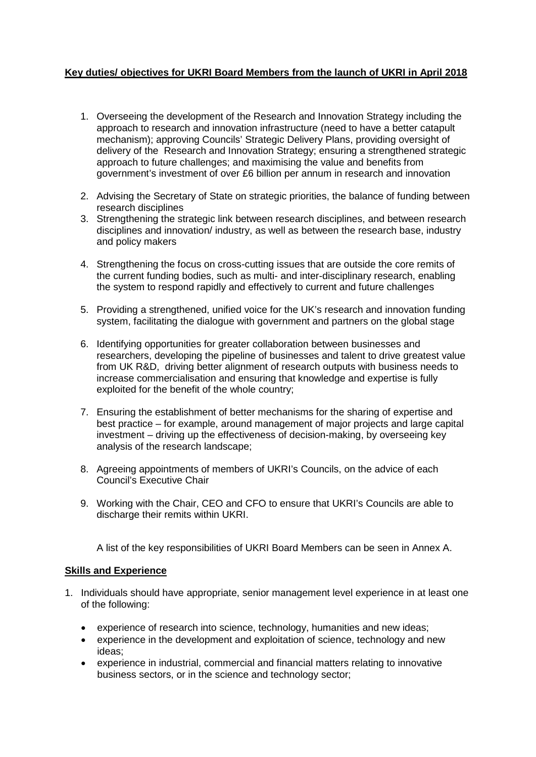### **Key duties/ objectives for UKRI Board Members from the launch of UKRI in April 2018**

- 1. Overseeing the development of the Research and Innovation Strategy including the approach to research and innovation infrastructure (need to have a better catapult mechanism); approving Councils' Strategic Delivery Plans, providing oversight of delivery of the Research and Innovation Strategy; ensuring a strengthened strategic approach to future challenges; and maximising the value and benefits from government's investment of over £6 billion per annum in research and innovation
- 2. Advising the Secretary of State on strategic priorities, the balance of funding between research disciplines
- 3. Strengthening the strategic link between research disciplines, and between research disciplines and innovation/ industry, as well as between the research base, industry and policy makers
- 4. Strengthening the focus on cross-cutting issues that are outside the core remits of the current funding bodies, such as multi- and inter-disciplinary research, enabling the system to respond rapidly and effectively to current and future challenges
- 5. Providing a strengthened, unified voice for the UK's research and innovation funding system, facilitating the dialogue with government and partners on the global stage
- 6. Identifying opportunities for greater collaboration between businesses and researchers, developing the pipeline of businesses and talent to drive greatest value from UK R&D, driving better alignment of research outputs with business needs to increase commercialisation and ensuring that knowledge and expertise is fully exploited for the benefit of the whole country;
- 7. Ensuring the establishment of better mechanisms for the sharing of expertise and best practice – for example, around management of major projects and large capital investment – driving up the effectiveness of decision-making, by overseeing key analysis of the research landscape;
- 8. Agreeing appointments of members of UKRI's Councils, on the advice of each Council's Executive Chair
- 9. Working with the Chair, CEO and CFO to ensure that UKRI's Councils are able to discharge their remits within UKRI.

A list of the key responsibilities of UKRI Board Members can be seen in Annex A.

### **Skills and Experience**

- 1. Individuals should have appropriate, senior management level experience in at least one of the following:
	- experience of research into science, technology, humanities and new ideas;
	- experience in the development and exploitation of science, technology and new ideas;
	- experience in industrial, commercial and financial matters relating to innovative business sectors, or in the science and technology sector;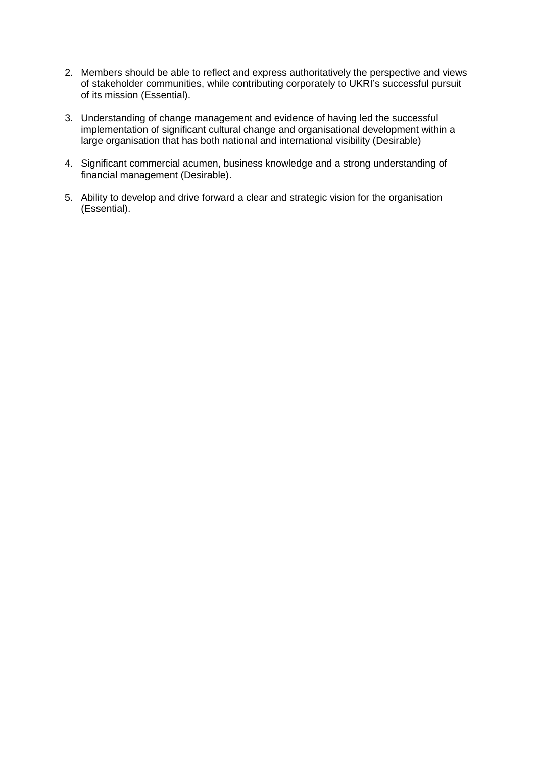- 2. Members should be able to reflect and express authoritatively the perspective and views of stakeholder communities, while contributing corporately to UKRI's successful pursuit of its mission (Essential).
- 3. Understanding of change management and evidence of having led the successful implementation of significant cultural change and organisational development within a large organisation that has both national and international visibility (Desirable)
- 4. Significant commercial acumen, business knowledge and a strong understanding of financial management (Desirable).
- 5. Ability to develop and drive forward a clear and strategic vision for the organisation (Essential).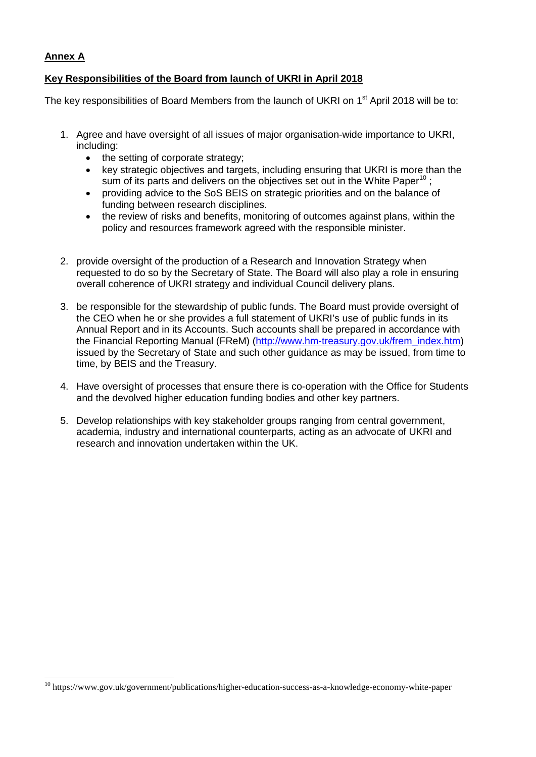### **Annex A**

 $\overline{a}$ 

### **Key Responsibilities of the Board from launch of UKRI in April 2018**

The key responsibilities of Board Members from the launch of UKRI on 1<sup>st</sup> April 2018 will be to:

- 1. Agree and have oversight of all issues of major organisation-wide importance to UKRI, including:
	- the setting of corporate strategy;
	- key strategic objectives and targets, including ensuring that UKRI is more than the sum of its parts and delivers on the objectives set out in the White Paper<sup>[10](#page-36-0)</sup> :
	- providing advice to the SoS BEIS on strategic priorities and on the balance of funding between research disciplines.
	- the review of risks and benefits, monitoring of outcomes against plans, within the policy and resources framework agreed with the responsible minister.
- 2. provide oversight of the production of a Research and Innovation Strategy when requested to do so by the Secretary of State. The Board will also play a role in ensuring overall coherence of UKRI strategy and individual Council delivery plans.
- 3. be responsible for the stewardship of public funds. The Board must provide oversight of the CEO when he or she provides a full statement of UKRI's use of public funds in its Annual Report and in its Accounts. Such accounts shall be prepared in accordance with the Financial Reporting Manual (FReM) [\(http://www.hm-treasury.gov.uk/frem\\_index.htm\)](http://www.hm-treasury.gov.uk/frem_index.htm) issued by the Secretary of State and such other guidance as may be issued, from time to time, by BEIS and the Treasury.
- 4. Have oversight of processes that ensure there is co-operation with the Office for Students and the devolved higher education funding bodies and other key partners.
- 5. Develop relationships with key stakeholder groups ranging from central government, academia, industry and international counterparts, acting as an advocate of UKRI and research and innovation undertaken within the UK.

<span id="page-36-0"></span><sup>10</sup> https://www.gov.uk/government/publications/higher-education-success-as-a-knowledge-economy-white-paper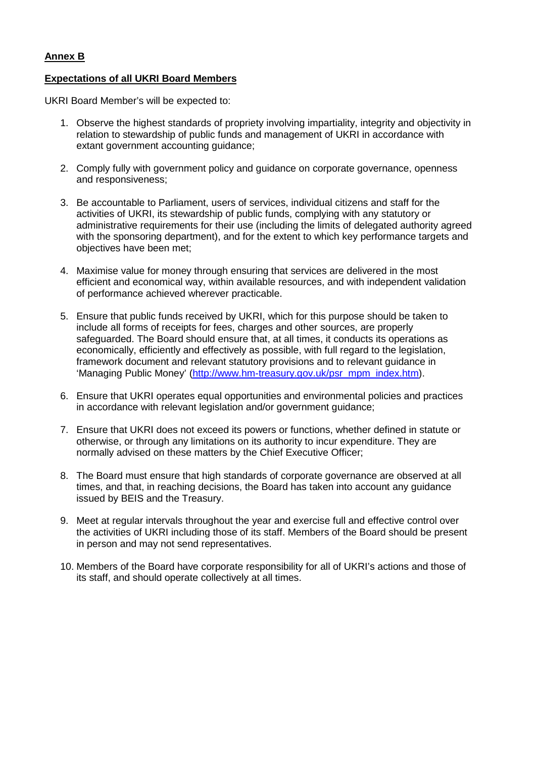### **Annex B**

### **Expectations of all UKRI Board Members**

UKRI Board Member's will be expected to:

- 1. Observe the highest standards of propriety involving impartiality, integrity and objectivity in relation to stewardship of public funds and management of UKRI in accordance with extant government accounting guidance;
- 2. Comply fully with government policy and guidance on corporate governance, openness and responsiveness;
- 3. Be accountable to Parliament, users of services, individual citizens and staff for the activities of UKRI, its stewardship of public funds, complying with any statutory or administrative requirements for their use (including the limits of delegated authority agreed with the sponsoring department), and for the extent to which key performance targets and objectives have been met;
- 4. Maximise value for money through ensuring that services are delivered in the most efficient and economical way, within available resources, and with independent validation of performance achieved wherever practicable.
- 5. Ensure that public funds received by UKRI, which for this purpose should be taken to include all forms of receipts for fees, charges and other sources, are properly safeguarded. The Board should ensure that, at all times, it conducts its operations as economically, efficiently and effectively as possible, with full regard to the legislation, framework document and relevant statutory provisions and to relevant guidance in 'Managing Public Money' [\(http://www.hm-treasury.gov.uk/psr\\_mpm\\_index.htm\)](http://www.hm-treasury.gov.uk/psr_mpm_index.htm).
- 6. Ensure that UKRI operates equal opportunities and environmental policies and practices in accordance with relevant legislation and/or government guidance;
- 7. Ensure that UKRI does not exceed its powers or functions, whether defined in statute or otherwise, or through any limitations on its authority to incur expenditure. They are normally advised on these matters by the Chief Executive Officer;
- 8. The Board must ensure that high standards of corporate governance are observed at all times, and that, in reaching decisions, the Board has taken into account any guidance issued by BEIS and the Treasury.
- 9. Meet at regular intervals throughout the year and exercise full and effective control over the activities of UKRI including those of its staff. Members of the Board should be present in person and may not send representatives.
- 10. Members of the Board have corporate responsibility for all of UKRI's actions and those of its staff, and should operate collectively at all times.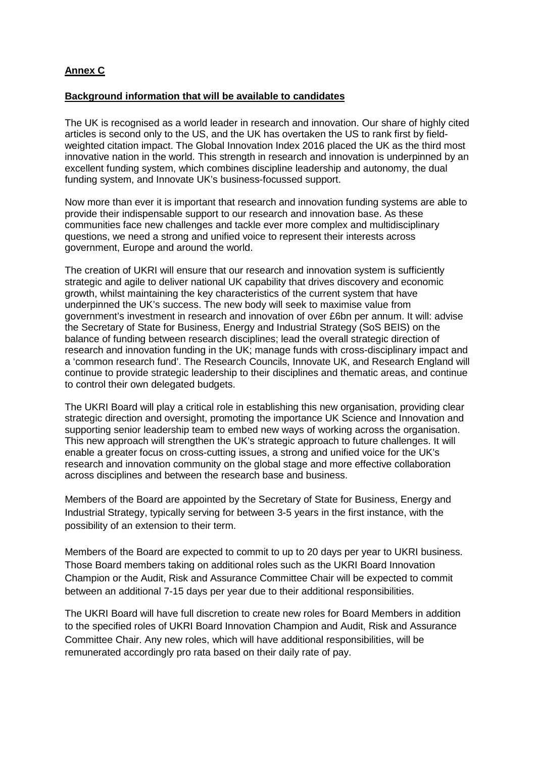### **Annex C**

### **Background information that will be available to candidates**

The UK is recognised as a world leader in research and innovation. Our share of highly cited articles is second only to the US, and the UK has overtaken the US to rank first by fieldweighted citation impact. The Global Innovation Index 2016 placed the UK as the third most innovative nation in the world. This strength in research and innovation is underpinned by an excellent funding system, which combines discipline leadership and autonomy, the dual funding system, and Innovate UK's business-focussed support.

Now more than ever it is important that research and innovation funding systems are able to provide their indispensable support to our research and innovation base. As these communities face new challenges and tackle ever more complex and multidisciplinary questions, we need a strong and unified voice to represent their interests across government, Europe and around the world.

The creation of UKRI will ensure that our research and innovation system is sufficiently strategic and agile to deliver national UK capability that drives discovery and economic growth, whilst maintaining the key characteristics of the current system that have underpinned the UK's success. The new body will seek to maximise value from government's investment in research and innovation of over £6bn per annum. It will: advise the Secretary of State for Business, Energy and Industrial Strategy (SoS BEIS) on the balance of funding between research disciplines; lead the overall strategic direction of research and innovation funding in the UK; manage funds with cross-disciplinary impact and a 'common research fund'. The Research Councils, Innovate UK, and Research England will continue to provide strategic leadership to their disciplines and thematic areas, and continue to control their own delegated budgets.

The UKRI Board will play a critical role in establishing this new organisation, providing clear strategic direction and oversight, promoting the importance UK Science and Innovation and supporting senior leadership team to embed new ways of working across the organisation. This new approach will strengthen the UK's strategic approach to future challenges. It will enable a greater focus on cross-cutting issues, a strong and unified voice for the UK's research and innovation community on the global stage and more effective collaboration across disciplines and between the research base and business.

Members of the Board are appointed by the Secretary of State for Business, Energy and Industrial Strategy, typically serving for between 3-5 years in the first instance, with the possibility of an extension to their term.

Members of the Board are expected to commit to up to 20 days per year to UKRI business. Those Board members taking on additional roles such as the UKRI Board Innovation Champion or the Audit, Risk and Assurance Committee Chair will be expected to commit between an additional 7-15 days per year due to their additional responsibilities.

The UKRI Board will have full discretion to create new roles for Board Members in addition to the specified roles of UKRI Board Innovation Champion and Audit, Risk and Assurance Committee Chair. Any new roles, which will have additional responsibilities, will be remunerated accordingly pro rata based on their daily rate of pay.